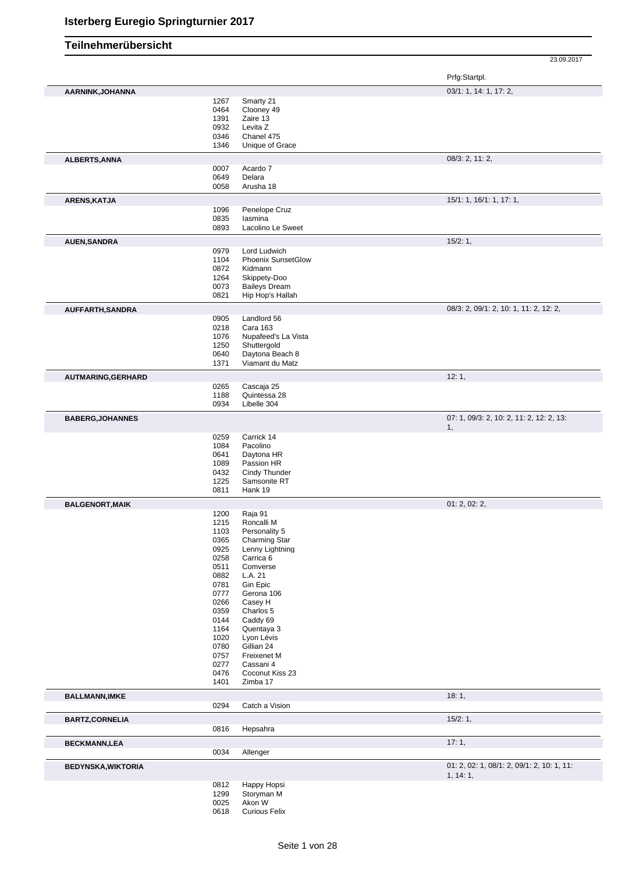|                           |              |                                          | 23.09.2017                                     |
|---------------------------|--------------|------------------------------------------|------------------------------------------------|
|                           |              |                                          | Prfg:Startpl.                                  |
| AARNINK, JOHANNA          |              |                                          | 03/1: 1, 14: 1, 17: 2,                         |
|                           | 1267         | Smarty 21                                |                                                |
|                           | 0464         | Clooney 49                               |                                                |
|                           | 1391         | Zaire 13                                 |                                                |
|                           | 0932         | Levita Z                                 |                                                |
|                           | 0346         | Chanel 475                               |                                                |
|                           | 1346         | Unique of Grace                          |                                                |
| ALBERTS, ANNA             |              |                                          | 08/3: 2, 11: 2,                                |
|                           | 0007<br>0649 | Acardo 7<br>Delara                       |                                                |
|                           | 0058         | Arusha 18                                |                                                |
| ARENS, KATJA              |              |                                          | 15/1: 1, 16/1: 1, 17: 1,                       |
|                           | 1096         | Penelope Cruz                            |                                                |
|                           | 0835         | lasmina                                  |                                                |
|                           | 0893         | Lacolino Le Sweet                        |                                                |
| <b>AUEN, SANDRA</b>       |              |                                          | 15/2:1,                                        |
|                           | 0979         | Lord Ludwich                             |                                                |
|                           | 1104         | <b>Phoenix SunsetGlow</b>                |                                                |
|                           | 0872         | Kidmann                                  |                                                |
|                           | 1264         | Skippety-Doo                             |                                                |
|                           | 0073<br>0821 | <b>Baileys Dream</b><br>Hip Hop's Hallah |                                                |
|                           |              |                                          | 08/3: 2, 09/1: 2, 10: 1, 11: 2, 12: 2,         |
| AUFFARTH, SANDRA          | 0905         | Landlord 56                              |                                                |
|                           | 0218         | Cara 163                                 |                                                |
|                           | 1076         | Nupafeed's La Vista                      |                                                |
|                           | 1250         | Shuttergold                              |                                                |
|                           | 0640         | Daytona Beach 8                          |                                                |
|                           | 1371         | Viamant du Matz                          |                                                |
| AUTMARING, GERHARD        |              |                                          | 12:1,                                          |
|                           | 0265         | Cascaja 25                               |                                                |
|                           | 1188         | Quintessa 28                             |                                                |
|                           | 0934         | Libelle 304                              |                                                |
| <b>BABERG, JOHANNES</b>   |              |                                          | 07: 1, 09/3: 2, 10: 2, 11: 2, 12: 2, 13:<br>1, |
|                           | 0259         | Carrick 14                               |                                                |
|                           | 1084         | Pacolino                                 |                                                |
|                           | 0641         | Daytona HR                               |                                                |
|                           | 1089         | Passion HR                               |                                                |
|                           | 0432         | Cindy Thunder                            |                                                |
|                           | 1225         | Samsonite RT                             |                                                |
|                           | 0811         | Hank 19                                  |                                                |
| <b>BALGENORT, MAIK</b>    |              |                                          | 01: 2, 02: 2,                                  |
|                           | 1200         | Raja 91                                  |                                                |
|                           | 1215         | Roncalli M                               |                                                |
|                           | 1103<br>0365 | Personality 5<br>Charming Star           |                                                |
|                           | 0925         | Lenny Lightning                          |                                                |
|                           | 0258         | Carrica 6                                |                                                |
|                           | 0511         | Comverse                                 |                                                |
|                           | 0882         | L.A. 21                                  |                                                |
|                           | 0781         | Gin Epic                                 |                                                |
|                           | 0777         | Gerona 106                               |                                                |
|                           | 0266         | Casey H                                  |                                                |
|                           | 0359         | Charlos 5                                |                                                |
|                           | 0144         | Caddy 69                                 |                                                |
|                           | 1164<br>1020 | Quentaya 3<br>Lyon Lévis                 |                                                |
|                           | 0780         | Gillian 24                               |                                                |
|                           | 0757         | Freixenet M                              |                                                |
|                           | 0277         | Cassani 4                                |                                                |
|                           | 0476         | Coconut Kiss 23                          |                                                |
|                           | 1401         | Zimba 17                                 |                                                |
| <b>BALLMANN, IMKE</b>     |              |                                          | 18:1,                                          |
|                           | 0294         | Catch a Vision                           |                                                |
| <b>BARTZ,CORNELIA</b>     |              |                                          | 15/2:1,                                        |
|                           | 0816         | Hepsahra                                 |                                                |
| <b>BECKMANN,LEA</b>       |              |                                          | 17:1,                                          |
|                           | 0034         | Allenger                                 |                                                |
| <b>BEDYNSKA, WIKTORIA</b> |              |                                          | 01: 2, 02: 1, 08/1: 2, 09/1: 2, 10: 1, 11:     |
|                           |              |                                          | 1, 14:1,                                       |
|                           | 0812         | Happy Hopsi                              |                                                |
|                           | 1299         | Storyman M                               |                                                |
|                           | 0025<br>0618 | Akon W<br><b>Curious Felix</b>           |                                                |
|                           |              |                                          |                                                |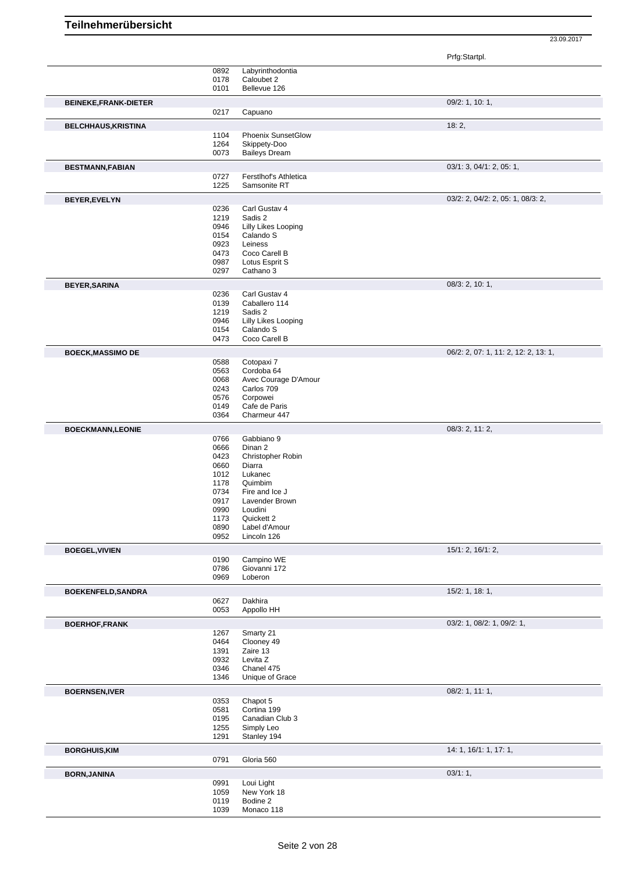|                              |              |                                      | Prfg:Startpl.                        |
|------------------------------|--------------|--------------------------------------|--------------------------------------|
|                              | 0892         | Labyrinthodontia                     |                                      |
|                              | 0178<br>0101 | Caloubet 2<br>Bellevue 126           |                                      |
| <b>BEINEKE, FRANK-DIETER</b> |              |                                      | 09/2: 1, 10: 1,                      |
|                              | 0217         | Capuano                              |                                      |
| <b>BELCHHAUS, KRISTINA</b>   |              |                                      | 18:2,                                |
|                              | 1104         | <b>Phoenix SunsetGlow</b>            |                                      |
|                              | 1264<br>0073 | Skippety-Doo<br><b>Baileys Dream</b> |                                      |
| <b>BESTMANN, FABIAN</b>      |              |                                      | 03/1: 3, 04/1: 2, 05: 1,             |
|                              | 0727         | Ferstlhof's Athletica                |                                      |
|                              | 1225         | Samsonite RT                         |                                      |
| BEYER, EVELYN                |              |                                      | 03/2: 2, 04/2: 2, 05: 1, 08/3: 2,    |
|                              | 0236<br>1219 | Carl Gustav 4<br>Sadis 2             |                                      |
|                              | 0946         | Lilly Likes Looping                  |                                      |
|                              | 0154         | Calando S                            |                                      |
|                              | 0923<br>0473 | Leiness<br>Coco Carell B             |                                      |
|                              | 0987         | Lotus Esprit S                       |                                      |
|                              | 0297         | Cathano 3                            |                                      |
| <b>BEYER, SARINA</b>         |              |                                      | 08/3: 2, 10: 1,                      |
|                              | 0236         | Carl Gustav 4                        |                                      |
|                              | 0139<br>1219 | Caballero 114<br>Sadis 2             |                                      |
|                              | 0946         | Lilly Likes Looping                  |                                      |
|                              | 0154         | Calando S                            |                                      |
|                              | 0473         | Coco Carell B                        |                                      |
| <b>BOECK, MASSIMO DE</b>     | 0588         | Cotopaxi 7                           | 06/2: 2, 07: 1, 11: 2, 12: 2, 13: 1, |
|                              | 0563         | Cordoba 64                           |                                      |
|                              | 0068         | Avec Courage D'Amour                 |                                      |
|                              | 0243         | Carlos 709                           |                                      |
|                              | 0576<br>0149 | Corpowei<br>Cafe de Paris            |                                      |
|                              | 0364         | Charmeur 447                         |                                      |
| <b>BOECKMANN,LEONIE</b>      |              |                                      | 08/3: 2, 11: 2,                      |
|                              | 0766         | Gabbiano 9                           |                                      |
|                              | 0666<br>0423 | Dinan 2<br>Christopher Robin         |                                      |
|                              | 0660         | Diarra                               |                                      |
|                              | 1012         | Lukanec                              |                                      |
|                              | 1178<br>0734 | Quimbim<br>Fire and Ice J            |                                      |
|                              | 0917         | Lavender Brown                       |                                      |
|                              | 0990         | Loudini                              |                                      |
|                              | 1173<br>0890 | Quickett 2<br>Label d'Amour          |                                      |
|                              | 0952         | Lincoln 126                          |                                      |
| <b>BOEGEL, VIVIEN</b>        |              |                                      | 15/1: 2, 16/1: 2,                    |
|                              | 0190         | Campino WE                           |                                      |
|                              | 0786<br>0969 | Giovanni 172<br>Loberon              |                                      |
| <b>BOEKENFELD, SANDRA</b>    |              |                                      | 15/2: 1, 18: 1,                      |
|                              | 0627         | Dakhira                              |                                      |
|                              | 0053         | Appollo HH                           |                                      |
| <b>BOERHOF,FRANK</b>         |              |                                      | 03/2: 1, 08/2: 1, 09/2: 1,           |
|                              | 1267<br>0464 | Smarty 21<br>Clooney 49              |                                      |
|                              | 1391         | Zaire 13                             |                                      |
|                              | 0932         | Levita Z                             |                                      |
|                              | 0346<br>1346 | Chanel 475<br>Unique of Grace        |                                      |
| <b>BOERNSEN, IVER</b>        |              |                                      | 08/2: 1, 11: 1,                      |
|                              | 0353         | Chapot 5                             |                                      |
|                              | 0581         | Cortina 199                          |                                      |
|                              | 0195<br>1255 | Canadian Club 3<br>Simply Leo        |                                      |
|                              | 1291         | Stanley 194                          |                                      |
| <b>BORGHUIS, KIM</b>         |              |                                      | 14: 1, 16/1: 1, 17: 1,               |
|                              | 0791         | Gloria 560                           |                                      |
| <b>BORN, JANINA</b>          |              |                                      | 03/1:1,                              |
|                              | 0991<br>1059 | Loui Light<br>New York 18            |                                      |
|                              | 0119         | Bodine 2                             |                                      |
|                              | 1039         | Monaco 118                           |                                      |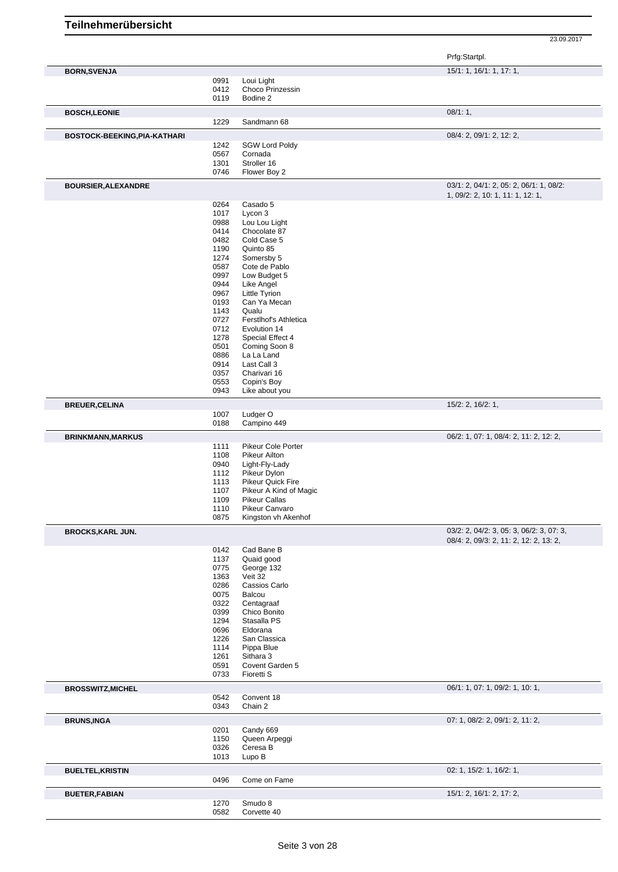|                              |              |                                        | Prfg:Startpl.                                                                      |
|------------------------------|--------------|----------------------------------------|------------------------------------------------------------------------------------|
| <b>BORN, SVENJA</b>          | 0991         | Loui Light                             | 15/1: 1, 16/1: 1, 17: 1,                                                           |
|                              | 0412         | Choco Prinzessin                       |                                                                                    |
|                              | 0119         | Bodine 2                               |                                                                                    |
| <b>BOSCH,LEONIE</b>          |              |                                        | 08/1:1,                                                                            |
|                              | 1229         | Sandmann 68                            |                                                                                    |
| BOSTOCK-BEEKING, PIA-KATHARI |              |                                        | 08/4: 2, 09/1: 2, 12: 2,                                                           |
|                              | 1242         | <b>SGW Lord Poldy</b>                  |                                                                                    |
|                              | 0567         | Cornada                                |                                                                                    |
|                              | 1301<br>0746 | Stroller 16<br>Flower Boy 2            |                                                                                    |
|                              |              |                                        |                                                                                    |
| <b>BOURSIER, ALEXANDRE</b>   |              |                                        | 03/1: 2, 04/1: 2, 05: 2, 06/1: 1, 08/2:<br>1, 09/2: 2, 10: 1, 11: 1, 12: 1,        |
|                              | 0264         | Casado 5                               |                                                                                    |
|                              | 1017         | Lycon 3                                |                                                                                    |
|                              | 0988         | Lou Lou Light                          |                                                                                    |
|                              | 0414         | Chocolate 87                           |                                                                                    |
|                              | 0482<br>1190 | Cold Case 5<br>Quinto 85               |                                                                                    |
|                              | 1274         | Somersby 5                             |                                                                                    |
|                              | 0587         | Cote de Pablo                          |                                                                                    |
|                              | 0997         | Low Budget 5                           |                                                                                    |
|                              | 0944         | Like Angel                             |                                                                                    |
|                              | 0967         | <b>Little Tyrion</b>                   |                                                                                    |
|                              | 0193<br>1143 | Can Ya Mecan<br>Qualu                  |                                                                                    |
|                              | 0727         | Ferstlhof's Athletica                  |                                                                                    |
|                              | 0712         | Evolution 14                           |                                                                                    |
|                              | 1278         | Special Effect 4                       |                                                                                    |
|                              | 0501         | Coming Soon 8                          |                                                                                    |
|                              | 0886         | La La Land                             |                                                                                    |
|                              | 0914<br>0357 | Last Call 3<br>Charivari 16            |                                                                                    |
|                              | 0553         | Copin's Boy                            |                                                                                    |
|                              | 0943         | Like about you                         |                                                                                    |
| <b>BREUER, CELINA</b>        |              |                                        | $15/2$ : 2, $16/2$ : 1,                                                            |
|                              | 1007         | Ludger O                               |                                                                                    |
|                              | 0188         | Campino 449                            |                                                                                    |
| <b>BRINKMANN, MARKUS</b>     |              |                                        | 06/2: 1, 07: 1, 08/4: 2, 11: 2, 12: 2,                                             |
|                              | 1111         | Pikeur Cole Porter                     |                                                                                    |
|                              | 1108<br>0940 | <b>Pikeur Ailton</b><br>Light-Fly-Lady |                                                                                    |
|                              | 1112         | Pikeur Dylon                           |                                                                                    |
|                              | 1113         | Pikeur Quick Fire                      |                                                                                    |
|                              | 1107         | Pikeur A Kind of Magic                 |                                                                                    |
|                              | 1109         | <b>Pikeur Callas</b>                   |                                                                                    |
|                              | 1110<br>0875 | Pikeur Canvaro<br>Kingston vh Akenhof  |                                                                                    |
|                              |              |                                        |                                                                                    |
| <b>BROCKS, KARL JUN.</b>     |              |                                        | 03/2: 2, 04/2: 3, 05: 3, 06/2: 3, 07: 3,<br>08/4: 2, 09/3: 2, 11: 2, 12: 2, 13: 2, |
|                              | 0142         | Cad Bane B                             |                                                                                    |
|                              | 1137         | Quaid good                             |                                                                                    |
|                              | 0775         | George 132                             |                                                                                    |
|                              | 1363         | Veit 32                                |                                                                                    |
|                              | 0286<br>0075 | Cassios Carlo<br>Balcou                |                                                                                    |
|                              | 0322         | Centagraaf                             |                                                                                    |
|                              | 0399         | Chico Bonito                           |                                                                                    |
|                              | 1294         | Stasalla PS                            |                                                                                    |
|                              | 0696         | Eldorana                               |                                                                                    |
|                              | 1226         | San Classica                           |                                                                                    |
|                              | 1114         | Pippa Blue                             |                                                                                    |
|                              | 1261<br>0591 | Sithara 3<br>Covent Garden 5           |                                                                                    |
|                              | 0733         | Fioretti S                             |                                                                                    |
|                              |              |                                        | 06/1: 1, 07: 1, 09/2: 1, 10: 1,                                                    |
| <b>BROSSWITZ, MICHEL</b>     | 0542         | Convent 18                             |                                                                                    |
|                              | 0343         | Chain 2                                |                                                                                    |
| <b>BRUNS, INGA</b>           |              |                                        | 07: 1, 08/2: 2, 09/1: 2, 11: 2,                                                    |
|                              | 0201         | Candy 669                              |                                                                                    |
|                              | 1150         | Queen Arpeggi                          |                                                                                    |
|                              | 0326<br>1013 | Ceresa B<br>Lupo B                     |                                                                                    |
|                              |              |                                        |                                                                                    |
| <b>BUELTEL, KRISTIN</b>      | 0496         | Come on Fame                           | 02: 1, 15/2: 1, 16/2: 1,                                                           |
|                              |              |                                        |                                                                                    |
| <b>BUETER, FABIAN</b>        | 1270         | Smudo 8                                | 15/1: 2, 16/1: 2, 17: 2,                                                           |
|                              | 0582         | Corvette 40                            |                                                                                    |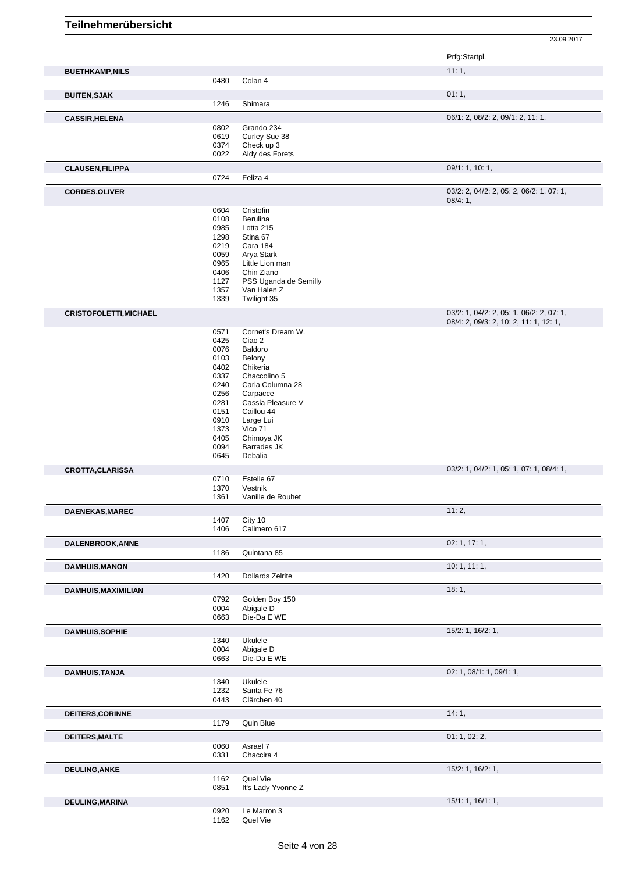|                               |              |                                      | Prfg:Startpl.                                       |
|-------------------------------|--------------|--------------------------------------|-----------------------------------------------------|
| <b>BUETHKAMP, NILS</b>        |              |                                      | 11:1,                                               |
|                               | 0480         | Colan 4                              |                                                     |
| <b>BUITEN, SJAK</b>           |              | Shimara                              | 01:1,                                               |
|                               | 1246         |                                      |                                                     |
| <b>CASSIR, HELENA</b>         | 0802         | Grando 234                           | 06/1: 2, 08/2: 2, 09/1: 2, 11: 1,                   |
|                               | 0619         | Curley Sue 38                        |                                                     |
|                               | 0374         | Check up 3                           |                                                     |
|                               | 0022         | Aidy des Forets                      |                                                     |
| <b>CLAUSEN, FILIPPA</b>       |              |                                      | 09/1: 1, 10: 1,                                     |
|                               | 0724         | Feliza 4                             |                                                     |
| <b>CORDES, OLIVER</b>         |              |                                      | 03/2: 2, 04/2: 2, 05: 2, 06/2: 1, 07: 1,<br>08/4:1, |
|                               | 0604         | Cristofin                            |                                                     |
|                               | 0108         | Berulina                             |                                                     |
|                               | 0985         | Lotta 215                            |                                                     |
|                               | 1298<br>0219 | Stina 67<br>Cara 184                 |                                                     |
|                               | 0059         | Arya Stark                           |                                                     |
|                               | 0965         | Little Lion man                      |                                                     |
|                               | 0406         | Chin Ziano                           |                                                     |
|                               | 1127<br>1357 | PSS Uganda de Semilly<br>Van Halen Z |                                                     |
|                               | 1339         | Twilight 35                          |                                                     |
| <b>CRISTOFOLETTI, MICHAEL</b> |              |                                      | 03/2: 1, 04/2: 2, 05: 1, 06/2: 2, 07: 1,            |
|                               |              |                                      | 08/4: 2, 09/3: 2, 10: 2, 11: 1, 12: 1,              |
|                               | 0571         | Cornet's Dream W.                    |                                                     |
|                               | 0425<br>0076 | Ciao 2<br>Baldoro                    |                                                     |
|                               | 0103         | Belony                               |                                                     |
|                               | 0402         | Chikeria                             |                                                     |
|                               | 0337         | Chaccolino 5                         |                                                     |
|                               | 0240<br>0256 | Carla Columna 28<br>Carpacce         |                                                     |
|                               | 0281         | Cassia Pleasure V                    |                                                     |
|                               | 0151         | Caillou 44                           |                                                     |
|                               | 0910         | Large Lui                            |                                                     |
|                               | 1373<br>0405 | Vico 71<br>Chimoya JK                |                                                     |
|                               | 0094         | Barrades JK                          |                                                     |
|                               | 0645         | Debalia                              |                                                     |
| <b>CROTTA, CLARISSA</b>       |              |                                      | 03/2: 1, 04/2: 1, 05: 1, 07: 1, 08/4: 1,            |
|                               | 0710<br>1370 | Estelle 67<br>Vestnik                |                                                     |
|                               | 1361         | Vanille de Rouhet                    |                                                     |
| DAENEKAS, MAREC               |              |                                      | 11:2,                                               |
|                               | 1407         | City 10                              |                                                     |
|                               | 1406         | Calimero 617                         |                                                     |
| DALENBROOK, ANNE              |              |                                      | 02: 1, 17: 1,                                       |
|                               | 1186         | Quintana 85                          |                                                     |
| <b>DAMHUIS, MANON</b>         | 1420         | <b>Dollards Zelrite</b>              | 10:1, 11:1,                                         |
| DAMHUIS, MAXIMILIAN           |              |                                      | 18:1,                                               |
|                               | 0792         | Golden Boy 150                       |                                                     |
|                               | 0004         | Abigale D                            |                                                     |
|                               | 0663         | Die-Da E WE                          |                                                     |
| <b>DAMHUIS, SOPHIE</b>        |              |                                      | 15/2: 1, 16/2: 1,                                   |
|                               | 1340<br>0004 | Ukulele<br>Abigale D                 |                                                     |
|                               | 0663         | Die-Da E WE                          |                                                     |
| <b>DAMHUIS, TANJA</b>         |              |                                      | 02: 1, 08/1: 1, 09/1: 1,                            |
|                               | 1340         | Ukulele                              |                                                     |
|                               | 1232         | Santa Fe 76                          |                                                     |
|                               | 0443         | Clärchen 40                          |                                                     |
| DEITERS, CORINNE              |              |                                      | 14:1,                                               |
|                               | 1179         | Quin Blue                            |                                                     |
| DEITERS, MALTE                | 0060         | Asrael 7                             | 01: 1, 02: 2,                                       |
|                               | 0331         | Chaccira 4                           |                                                     |
| <b>DEULING, ANKE</b>          |              |                                      | 15/2: 1, 16/2: 1,                                   |
|                               | 1162         | Quel Vie                             |                                                     |
|                               | 0851         | It's Lady Yvonne Z                   |                                                     |
| <b>DEULING, MARINA</b>        |              |                                      | 15/1: 1, 16/1: 1,                                   |
|                               | 0920         | Le Marron 3                          |                                                     |
|                               | 1162         | Quel Vie                             |                                                     |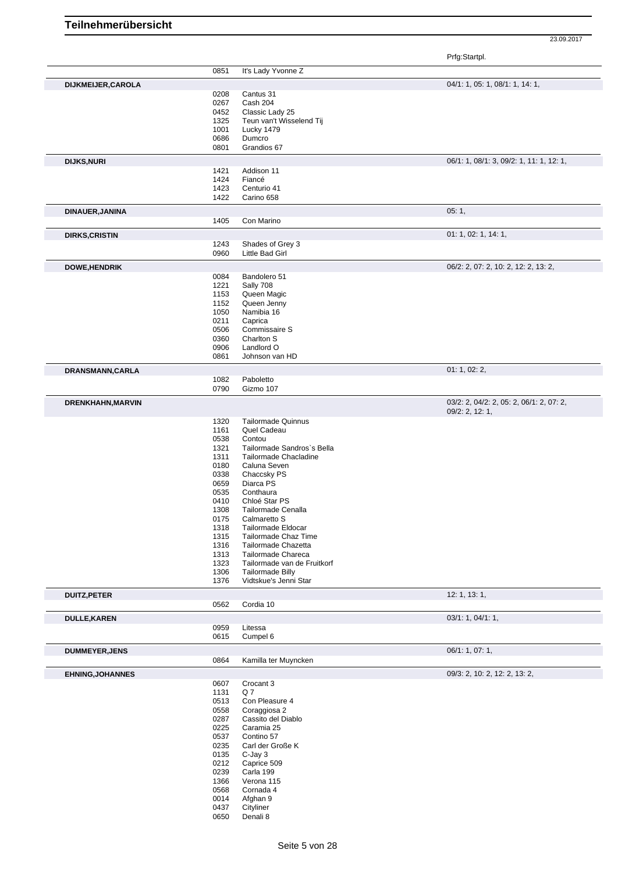Prfg:Startpl.

|                         |      |                             | Pilg.Stallpi.                            |
|-------------------------|------|-----------------------------|------------------------------------------|
|                         | 0851 | It's Lady Yvonne Z          |                                          |
|                         |      |                             |                                          |
| DIJKMEIJER, CAROLA      |      |                             | 04/1: 1, 05: 1, 08/1: 1, 14: 1,          |
|                         | 0208 | Cantus 31                   |                                          |
|                         | 0267 | Cash 204                    |                                          |
|                         | 0452 | Classic Lady 25             |                                          |
|                         | 1325 | Teun van't Wisselend Tij    |                                          |
|                         | 1001 | Lucky 1479                  |                                          |
|                         | 0686 | Dumcro                      |                                          |
|                         | 0801 | Grandios 67                 |                                          |
|                         |      |                             |                                          |
| <b>DIJKS, NURI</b>      |      |                             | 06/1: 1, 08/1: 3, 09/2: 1, 11: 1, 12: 1, |
|                         | 1421 | Addison 11                  |                                          |
|                         | 1424 | Fiancé                      |                                          |
|                         | 1423 | Centurio 41                 |                                          |
|                         | 1422 | Carino 658                  |                                          |
|                         |      |                             |                                          |
| DINAUER, JANINA         |      |                             | 05:1,                                    |
|                         | 1405 | Con Marino                  |                                          |
| <b>DIRKS, CRISTIN</b>   |      |                             | 01: 1, 02: 1, 14: 1,                     |
|                         | 1243 | Shades of Grey 3            |                                          |
|                         | 0960 | Little Bad Girl             |                                          |
|                         |      |                             |                                          |
| <b>DOWE, HENDRIK</b>    |      |                             | 06/2: 2, 07: 2, 10: 2, 12: 2, 13: 2,     |
|                         | 0084 | Bandolero 51                |                                          |
|                         | 1221 | Sally 708                   |                                          |
|                         | 1153 | Queen Magic                 |                                          |
|                         | 1152 | Queen Jenny                 |                                          |
|                         | 1050 | Namibia 16                  |                                          |
|                         |      |                             |                                          |
|                         | 0211 | Caprica                     |                                          |
|                         | 0506 | Commissaire S               |                                          |
|                         | 0360 | Charlton S                  |                                          |
|                         | 0906 | Landlord O                  |                                          |
|                         | 0861 | Johnson van HD              |                                          |
|                         |      |                             |                                          |
| DRANSMANN, CARLA        |      |                             | 01: 1, 02: 2,                            |
|                         | 1082 | Paboletto                   |                                          |
|                         | 0790 | Gizmo 107                   |                                          |
| DRENKHAHN, MARVIN       |      |                             | 03/2: 2, 04/2: 2, 05: 2, 06/1: 2, 07: 2, |
|                         |      |                             | 09/2: 2, 12: 1,                          |
|                         | 1320 | <b>Tailormade Quinnus</b>   |                                          |
|                         | 1161 | Quel Cadeau                 |                                          |
|                         | 0538 | Contou                      |                                          |
|                         | 1321 | Tailormade Sandros's Bella  |                                          |
|                         |      |                             |                                          |
|                         | 1311 | Tailormade Chacladine       |                                          |
|                         | 0180 | Caluna Seven                |                                          |
|                         | 0338 | Chaccsky PS                 |                                          |
|                         | 0659 | Diarca PS                   |                                          |
|                         | 0535 | Conthaura                   |                                          |
|                         | 0410 | Chloé Star PS               |                                          |
|                         | 1308 | Tailormade Cenalla          |                                          |
|                         | 0175 | Calmaretto S                |                                          |
|                         | 1318 | Tailormade Eldocar          |                                          |
|                         |      |                             |                                          |
|                         | 1315 | Tailormade Chaz Time        |                                          |
|                         | 1316 | Tailormade Chazetta         |                                          |
|                         | 1313 | Tailormade Chareca          |                                          |
|                         | 1323 | Tailormade van de Fruitkorf |                                          |
|                         | 1306 | <b>Tailormade Billy</b>     |                                          |
|                         | 1376 | Vidtskue's Jenni Star       |                                          |
|                         |      |                             | 12: 1, 13: 1,                            |
| <b>DUITZ, PETER</b>     | 0562 | Cordia 10                   |                                          |
|                         |      |                             |                                          |
| <b>DULLE,KAREN</b>      |      |                             | 03/1: 1, 04/1: 1,                        |
|                         | 0959 | Litessa                     |                                          |
|                         | 0615 | Cumpel 6                    |                                          |
| <b>DUMMEYER, JENS</b>   |      |                             | 06/1: 1, 07: 1,                          |
|                         | 0864 | Kamilla ter Muyncken        |                                          |
|                         |      |                             | 09/3: 2, 10: 2, 12: 2, 13: 2,            |
| <b>EHNING, JOHANNES</b> |      |                             |                                          |
|                         | 0607 | Crocant 3                   |                                          |
|                         | 1131 | Q7                          |                                          |
|                         | 0513 | Con Pleasure 4              |                                          |
|                         | 0558 | Coraggiosa 2                |                                          |
|                         | 0287 | Cassito del Diablo          |                                          |
|                         | 0225 | Caramia 25                  |                                          |
|                         |      |                             |                                          |
|                         | 0537 | Contino 57                  |                                          |
|                         | 0235 | Carl der Große K            |                                          |
|                         | 0135 | $C$ -Jay $3$                |                                          |
|                         | 0212 | Caprice 509                 |                                          |
|                         | 0239 | Carla 199                   |                                          |
|                         | 1366 | Verona 115                  |                                          |
|                         |      |                             |                                          |
|                         | 0568 | Cornada 4                   |                                          |
|                         | 0014 | Afghan 9                    |                                          |
|                         |      |                             |                                          |
|                         | 0437 | Cityliner                   |                                          |
|                         | 0650 | Denali 8                    |                                          |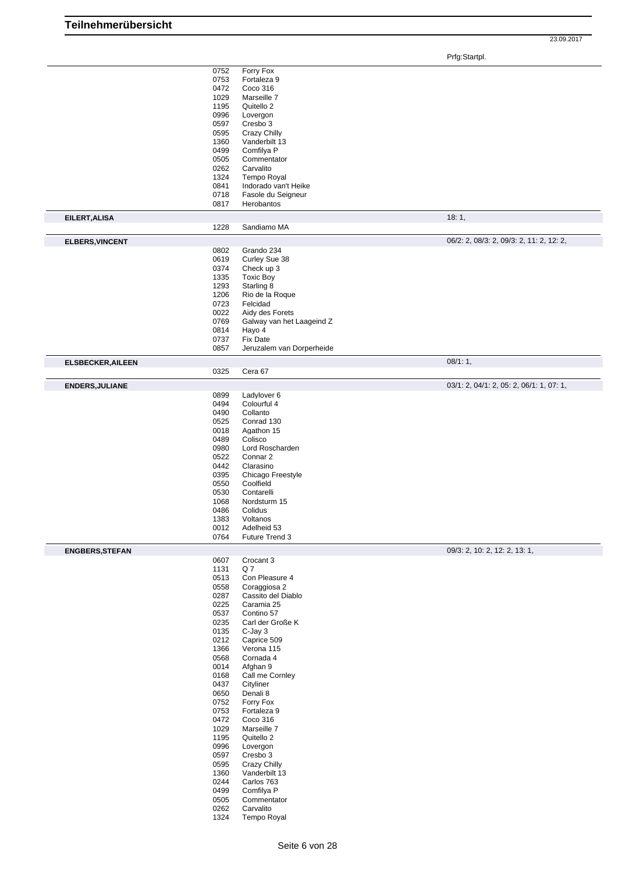Prfg:Startpl.

|                          | 0752<br>0753<br>0472<br>1029<br>1195<br>0996<br>0597<br>0595<br>1360<br>0499<br>0505<br>0262<br>1324<br>0841<br>0718                                                                                                                         | Forry Fox<br>Fortaleza 9<br>Coco 316<br>Marseille 7<br>Quitello 2<br>Lovergon<br>Cresbo 3<br>Crazy Chilly<br>Vanderbilt 13<br>Comfilya P<br>Commentator<br>Carvalito<br>Tempo Royal<br>Indorado van't Heike<br>Fasole du Seigneur                                                                                                                                                                                                              |                                          |
|--------------------------|----------------------------------------------------------------------------------------------------------------------------------------------------------------------------------------------------------------------------------------------|------------------------------------------------------------------------------------------------------------------------------------------------------------------------------------------------------------------------------------------------------------------------------------------------------------------------------------------------------------------------------------------------------------------------------------------------|------------------------------------------|
| EILERT, ALISA            | 0817                                                                                                                                                                                                                                         | Herobantos                                                                                                                                                                                                                                                                                                                                                                                                                                     | 18:1,                                    |
|                          | 1228                                                                                                                                                                                                                                         | Sandiamo MA                                                                                                                                                                                                                                                                                                                                                                                                                                    | 06/2: 2, 08/3: 2, 09/3: 2, 11: 2, 12: 2, |
| <b>ELBERS, VINCENT</b>   | 0802<br>0619<br>0374<br>1335<br>1293                                                                                                                                                                                                         | Grando 234<br>Curley Sue 38<br>Check up 3<br><b>Toxic Boy</b><br>Starling 8                                                                                                                                                                                                                                                                                                                                                                    |                                          |
|                          | 1206<br>0723<br>0022<br>0769<br>0814                                                                                                                                                                                                         | Rio de la Roque<br>Felcidad<br>Aidy des Forets<br>Galway van het Laageind Z<br>Hayo 4                                                                                                                                                                                                                                                                                                                                                          |                                          |
|                          | 0737<br>0857                                                                                                                                                                                                                                 | Fix Date<br>Jeruzalem van Dorperheide                                                                                                                                                                                                                                                                                                                                                                                                          |                                          |
| <b>ELSBECKER, AILEEN</b> |                                                                                                                                                                                                                                              |                                                                                                                                                                                                                                                                                                                                                                                                                                                | 08/1:1,                                  |
|                          | 0325                                                                                                                                                                                                                                         | Cera 67                                                                                                                                                                                                                                                                                                                                                                                                                                        |                                          |
| <b>ENDERS, JULIANE</b>   |                                                                                                                                                                                                                                              |                                                                                                                                                                                                                                                                                                                                                                                                                                                | 03/1: 2, 04/1: 2, 05: 2, 06/1: 1, 07: 1, |
|                          | 0899<br>0494<br>0490<br>0525<br>0018<br>0489<br>0980<br>0522<br>0442<br>0395<br>0550<br>0530<br>1068<br>0486<br>1383<br>0012<br>0764                                                                                                         | Ladylover 6<br>Colourful 4<br>Collanto<br>Conrad 130<br>Agathon 15<br>Colisco<br>Lord Roscharden<br>Connar 2<br>Clarasino<br>Chicago Freestyle<br>Coolfield<br>Contarelli<br>Nordsturm 15<br>Colidus<br>Voltanos<br>Adelheid 53<br>Future Trend 3                                                                                                                                                                                              |                                          |
| <b>ENGBERS, STEFAN</b>   |                                                                                                                                                                                                                                              |                                                                                                                                                                                                                                                                                                                                                                                                                                                | 09/3: 2, 10: 2, 12: 2, 13: 1,            |
|                          | 0607<br>1131<br>0513<br>0558<br>0287<br>0225<br>0537<br>0235<br>0135<br>0212<br>1366<br>0568<br>0014<br>0168<br>0437<br>0650<br>0752<br>0753<br>0472<br>1029<br>1195<br>0996<br>0597<br>0595<br>1360<br>0244<br>0499<br>0505<br>0262<br>1324 | Crocant 3<br>Q7<br>Con Pleasure 4<br>Coraggiosa 2<br>Cassito del Diablo<br>Caramia 25<br>Contino 57<br>Carl der Große K<br>$C$ -Jay $3$<br>Caprice 509<br>Verona 115<br>Cornada 4<br>Afghan 9<br>Call me Cornley<br>Cityliner<br>Denali 8<br>Forry Fox<br>Fortaleza 9<br>Coco 316<br>Marseille 7<br>Quitello 2<br>Lovergon<br>Cresbo 3<br>Crazy Chilly<br>Vanderbilt 13<br>Carlos 763<br>Comfilya P<br>Commentator<br>Carvalito<br>Tempo Royal |                                          |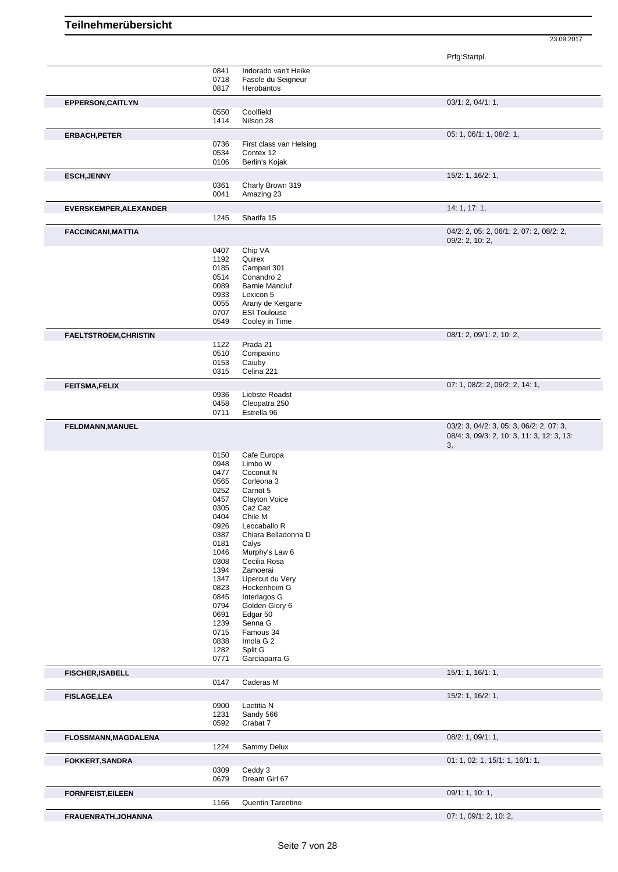Prfg:Startpl.

|              |                                                                                                                                                                                              | 03/1: 2, 04/1: 1,                                                                                                                                                                                                                                                                                                                                                                                                |
|--------------|----------------------------------------------------------------------------------------------------------------------------------------------------------------------------------------------|------------------------------------------------------------------------------------------------------------------------------------------------------------------------------------------------------------------------------------------------------------------------------------------------------------------------------------------------------------------------------------------------------------------|
| 0550         | Coolfield                                                                                                                                                                                    |                                                                                                                                                                                                                                                                                                                                                                                                                  |
|              |                                                                                                                                                                                              |                                                                                                                                                                                                                                                                                                                                                                                                                  |
|              |                                                                                                                                                                                              | 05: 1, 06/1: 1, 08/2: 1,                                                                                                                                                                                                                                                                                                                                                                                         |
|              |                                                                                                                                                                                              |                                                                                                                                                                                                                                                                                                                                                                                                                  |
|              |                                                                                                                                                                                              |                                                                                                                                                                                                                                                                                                                                                                                                                  |
|              |                                                                                                                                                                                              |                                                                                                                                                                                                                                                                                                                                                                                                                  |
|              |                                                                                                                                                                                              |                                                                                                                                                                                                                                                                                                                                                                                                                  |
|              |                                                                                                                                                                                              | 15/2: 1, 16/2: 1,                                                                                                                                                                                                                                                                                                                                                                                                |
|              |                                                                                                                                                                                              |                                                                                                                                                                                                                                                                                                                                                                                                                  |
|              |                                                                                                                                                                                              |                                                                                                                                                                                                                                                                                                                                                                                                                  |
|              |                                                                                                                                                                                              | 14: 1, 17: 1,                                                                                                                                                                                                                                                                                                                                                                                                    |
|              |                                                                                                                                                                                              |                                                                                                                                                                                                                                                                                                                                                                                                                  |
|              |                                                                                                                                                                                              |                                                                                                                                                                                                                                                                                                                                                                                                                  |
|              |                                                                                                                                                                                              | 04/2: 2, 05: 2, 06/1: 2, 07: 2, 08/2: 2,                                                                                                                                                                                                                                                                                                                                                                         |
|              |                                                                                                                                                                                              | $09/2$ : 2, 10: 2,                                                                                                                                                                                                                                                                                                                                                                                               |
|              |                                                                                                                                                                                              |                                                                                                                                                                                                                                                                                                                                                                                                                  |
|              |                                                                                                                                                                                              |                                                                                                                                                                                                                                                                                                                                                                                                                  |
|              |                                                                                                                                                                                              |                                                                                                                                                                                                                                                                                                                                                                                                                  |
|              |                                                                                                                                                                                              |                                                                                                                                                                                                                                                                                                                                                                                                                  |
|              |                                                                                                                                                                                              |                                                                                                                                                                                                                                                                                                                                                                                                                  |
|              |                                                                                                                                                                                              |                                                                                                                                                                                                                                                                                                                                                                                                                  |
|              |                                                                                                                                                                                              |                                                                                                                                                                                                                                                                                                                                                                                                                  |
|              |                                                                                                                                                                                              |                                                                                                                                                                                                                                                                                                                                                                                                                  |
|              |                                                                                                                                                                                              |                                                                                                                                                                                                                                                                                                                                                                                                                  |
|              |                                                                                                                                                                                              | 08/1: 2, 09/1: 2, 10: 2,                                                                                                                                                                                                                                                                                                                                                                                         |
| 1122         | Prada 21                                                                                                                                                                                     |                                                                                                                                                                                                                                                                                                                                                                                                                  |
| 0510         | Compaxino                                                                                                                                                                                    |                                                                                                                                                                                                                                                                                                                                                                                                                  |
| 0153         | Caiuby                                                                                                                                                                                       |                                                                                                                                                                                                                                                                                                                                                                                                                  |
| 0315         | Celina 221                                                                                                                                                                                   |                                                                                                                                                                                                                                                                                                                                                                                                                  |
|              |                                                                                                                                                                                              | 07: 1, 08/2: 2, 09/2: 2, 14: 1,                                                                                                                                                                                                                                                                                                                                                                                  |
|              |                                                                                                                                                                                              |                                                                                                                                                                                                                                                                                                                                                                                                                  |
|              |                                                                                                                                                                                              |                                                                                                                                                                                                                                                                                                                                                                                                                  |
|              |                                                                                                                                                                                              |                                                                                                                                                                                                                                                                                                                                                                                                                  |
|              |                                                                                                                                                                                              |                                                                                                                                                                                                                                                                                                                                                                                                                  |
|              |                                                                                                                                                                                              | 03/2: 3, 04/2: 3, 05: 3, 06/2: 2, 07: 3,<br>08/4: 3, 09/3: 2, 10: 3, 11: 3, 12: 3, 13:                                                                                                                                                                                                                                                                                                                           |
|              |                                                                                                                                                                                              | 3,                                                                                                                                                                                                                                                                                                                                                                                                               |
|              |                                                                                                                                                                                              |                                                                                                                                                                                                                                                                                                                                                                                                                  |
|              |                                                                                                                                                                                              |                                                                                                                                                                                                                                                                                                                                                                                                                  |
|              |                                                                                                                                                                                              |                                                                                                                                                                                                                                                                                                                                                                                                                  |
| 0477         | Coconut N                                                                                                                                                                                    |                                                                                                                                                                                                                                                                                                                                                                                                                  |
| 0565         | Corleona 3                                                                                                                                                                                   |                                                                                                                                                                                                                                                                                                                                                                                                                  |
| 0252         | Carnot 5                                                                                                                                                                                     |                                                                                                                                                                                                                                                                                                                                                                                                                  |
| 0457         | <b>Clayton Voice</b>                                                                                                                                                                         |                                                                                                                                                                                                                                                                                                                                                                                                                  |
| 0305         | Caz Caz                                                                                                                                                                                      |                                                                                                                                                                                                                                                                                                                                                                                                                  |
| 0404         | Chile M                                                                                                                                                                                      |                                                                                                                                                                                                                                                                                                                                                                                                                  |
| 0926         | Leocaballo R                                                                                                                                                                                 |                                                                                                                                                                                                                                                                                                                                                                                                                  |
| 0387         | Chiara Belladonna D                                                                                                                                                                          |                                                                                                                                                                                                                                                                                                                                                                                                                  |
| 0181         | Calys                                                                                                                                                                                        |                                                                                                                                                                                                                                                                                                                                                                                                                  |
| 1046         | Murphy's Law 6                                                                                                                                                                               |                                                                                                                                                                                                                                                                                                                                                                                                                  |
| 0308         | Cecilia Rosa                                                                                                                                                                                 |                                                                                                                                                                                                                                                                                                                                                                                                                  |
| 1394         | Zamoerai                                                                                                                                                                                     |                                                                                                                                                                                                                                                                                                                                                                                                                  |
| 1347<br>0823 | Upercut du Very<br>Hockenheim G                                                                                                                                                              |                                                                                                                                                                                                                                                                                                                                                                                                                  |
| 0845         | Interlagos G                                                                                                                                                                                 |                                                                                                                                                                                                                                                                                                                                                                                                                  |
| 0794         | Golden Glory 6                                                                                                                                                                               |                                                                                                                                                                                                                                                                                                                                                                                                                  |
| 0691         | Edgar 50                                                                                                                                                                                     |                                                                                                                                                                                                                                                                                                                                                                                                                  |
| 1239         | Senna G                                                                                                                                                                                      |                                                                                                                                                                                                                                                                                                                                                                                                                  |
| 0715         | Famous 34                                                                                                                                                                                    |                                                                                                                                                                                                                                                                                                                                                                                                                  |
| 0838         | Imola G 2                                                                                                                                                                                    |                                                                                                                                                                                                                                                                                                                                                                                                                  |
| 1282         | Split G                                                                                                                                                                                      |                                                                                                                                                                                                                                                                                                                                                                                                                  |
| 0771         | Garciaparra G                                                                                                                                                                                |                                                                                                                                                                                                                                                                                                                                                                                                                  |
|              |                                                                                                                                                                                              |                                                                                                                                                                                                                                                                                                                                                                                                                  |
|              |                                                                                                                                                                                              | 15/1: 1, 16/1: 1,                                                                                                                                                                                                                                                                                                                                                                                                |
| 0147         | Caderas M                                                                                                                                                                                    |                                                                                                                                                                                                                                                                                                                                                                                                                  |
|              |                                                                                                                                                                                              | 15/2: 1, 16/2: 1,                                                                                                                                                                                                                                                                                                                                                                                                |
| 0900         | Laetitia N                                                                                                                                                                                   |                                                                                                                                                                                                                                                                                                                                                                                                                  |
| 1231         | Sandy 566                                                                                                                                                                                    |                                                                                                                                                                                                                                                                                                                                                                                                                  |
| 0592         | Crabat 7                                                                                                                                                                                     |                                                                                                                                                                                                                                                                                                                                                                                                                  |
|              |                                                                                                                                                                                              |                                                                                                                                                                                                                                                                                                                                                                                                                  |
|              |                                                                                                                                                                                              | 08/2: 1, 09/1: 1,                                                                                                                                                                                                                                                                                                                                                                                                |
| 1224         | Sammy Delux                                                                                                                                                                                  |                                                                                                                                                                                                                                                                                                                                                                                                                  |
|              |                                                                                                                                                                                              |                                                                                                                                                                                                                                                                                                                                                                                                                  |
| 0309         | Ceddy 3                                                                                                                                                                                      | 01: 1, 02: 1, 15/1: 1, 16/1: 1,                                                                                                                                                                                                                                                                                                                                                                                  |
| 0679         | Dream Girl 67                                                                                                                                                                                |                                                                                                                                                                                                                                                                                                                                                                                                                  |
|              |                                                                                                                                                                                              |                                                                                                                                                                                                                                                                                                                                                                                                                  |
|              |                                                                                                                                                                                              | 09/1: 1, 10: 1,                                                                                                                                                                                                                                                                                                                                                                                                  |
| 1166         | Quentin Tarentino                                                                                                                                                                            |                                                                                                                                                                                                                                                                                                                                                                                                                  |
|              | 0841<br>0718<br>0817<br>1414<br>0736<br>0534<br>0106<br>0361<br>0041<br>1245<br>0407<br>1192<br>0185<br>0514<br>0089<br>0933<br>0055<br>0707<br>0549<br>0936<br>0458<br>0711<br>0150<br>0948 | Indorado van't Heike<br>Fasole du Seigneur<br>Herobantos<br>Nilson 28<br>First class van Helsing<br>Contex 12<br>Berlin's Kojak<br>Charly Brown 319<br>Amazing 23<br>Sharifa 15<br>Chip VA<br>Quirex<br>Campari 301<br>Conandro 2<br><b>Barnie Mancluf</b><br>Lexicon 5<br>Arany de Kergane<br><b>ESI Toulouse</b><br>Cooley in Time<br>Liebste Roadst<br>Cleopatra 250<br>Estrella 96<br>Cafe Europa<br>Limbo W |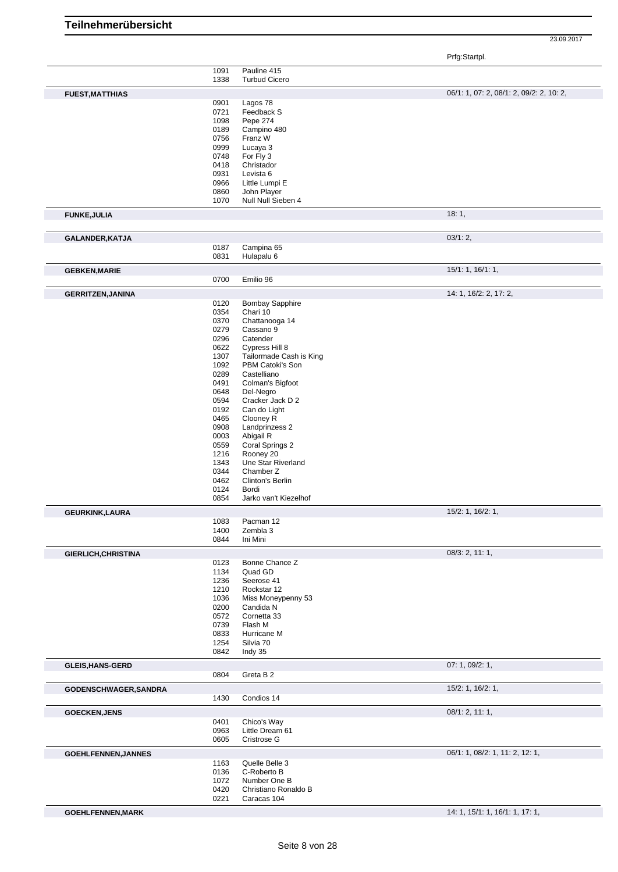Prfg:Startpl.

|                            | 1091         | Pauline 415                    |                                          |
|----------------------------|--------------|--------------------------------|------------------------------------------|
|                            | 1338         | <b>Turbud Cicero</b>           |                                          |
|                            |              |                                |                                          |
| <b>FUEST, MATTHIAS</b>     |              |                                | 06/1: 1, 07: 2, 08/1: 2, 09/2: 2, 10: 2, |
|                            | 0901         | Lagos 78                       |                                          |
|                            | 0721<br>1098 | Feedback S<br>Pepe 274         |                                          |
|                            | 0189         | Campino 480                    |                                          |
|                            | 0756         | Franz W                        |                                          |
|                            | 0999         | Lucaya 3                       |                                          |
|                            | 0748         | For Fly 3                      |                                          |
|                            | 0418         | Christador                     |                                          |
|                            | 0931         | Levista 6                      |                                          |
|                            | 0966         | Little Lumpi E                 |                                          |
|                            | 0860         | John Player                    |                                          |
|                            | 1070         | Null Null Sieben 4             |                                          |
| <b>FUNKE, JULIA</b>        |              |                                | 18:1,                                    |
| GALANDER, KATJA            |              |                                | 03/1:2,                                  |
|                            | 0187         | Campina 65                     |                                          |
|                            | 0831         | Hulapalu 6                     |                                          |
| <b>GEBKEN, MARIE</b>       |              |                                | 15/1: 1, 16/1: 1,                        |
|                            | 0700         | Emilio 96                      |                                          |
| <b>GERRITZEN, JANINA</b>   |              |                                | 14: 1, 16/2: 2, 17: 2,                   |
|                            | 0120         | <b>Bombay Sapphire</b>         |                                          |
|                            | 0354         | Chari 10                       |                                          |
|                            | 0370         | Chattanooga 14                 |                                          |
|                            | 0279         | Cassano 9<br>Catender          |                                          |
|                            | 0296<br>0622 | Cypress Hill 8                 |                                          |
|                            | 1307         | Tailormade Cash is King        |                                          |
|                            | 1092         | PBM Catoki's Son               |                                          |
|                            | 0289         | Castelliano                    |                                          |
|                            | 0491         | Colman's Bigfoot               |                                          |
|                            | 0648         | Del-Negro                      |                                          |
|                            | 0594         | Cracker Jack D 2               |                                          |
|                            | 0192         | Can do Light                   |                                          |
|                            | 0465         | Clooney R                      |                                          |
|                            | 0908<br>0003 | Landprinzess 2<br>Abigail R    |                                          |
|                            | 0559         | Coral Springs 2                |                                          |
|                            | 1216         | Rooney 20                      |                                          |
|                            | 1343         | Une Star Riverland             |                                          |
|                            | 0344         | Chamber Z                      |                                          |
|                            | 0462         | Clinton's Berlin               |                                          |
|                            | 0124         | Bordi<br>Jarko van't Kiezelhof |                                          |
|                            | 0854         |                                |                                          |
| <b>GEURKINK,LAURA</b>      |              |                                | 15/2: 1, 16/2: 1,                        |
|                            | 1083<br>1400 | Pacman 12<br>Zembla 3          |                                          |
|                            | 0844         | Ini Mini                       |                                          |
| GIERLICH, CHRISTINA        |              |                                | 08/3: 2, 11: 1,                          |
|                            | 0123         | Bonne Chance Z                 |                                          |
|                            | 1134         | Quad GD<br>Seerose 41          |                                          |
|                            | 1236<br>1210 | Rockstar 12                    |                                          |
|                            | 1036         | Miss Moneypenny 53             |                                          |
|                            | 0200         | Candida N                      |                                          |
|                            | 0572         | Cornetta 33                    |                                          |
|                            | 0739         | Flash M                        |                                          |
|                            | 0833         | Hurricane M                    |                                          |
|                            | 1254         | Silvia 70                      |                                          |
|                            | 0842         | Indy 35                        |                                          |
| <b>GLEIS, HANS-GERD</b>    | 0804         | Greta B 2                      | 07: 1, 09/2: 1,                          |
|                            |              |                                |                                          |
| GODENSCHWAGER, SANDRA      | 1430         | Condios 14                     | 15/2: 1, 16/2: 1,                        |
|                            |              |                                |                                          |
| <b>GOECKEN, JENS</b>       | 0401         | Chico's Way                    | 08/1: 2, 11: 1,                          |
|                            | 0963         | Little Dream 61                |                                          |
|                            | 0605         | Cristrose G                    |                                          |
|                            |              |                                | 06/1: 1, 08/2: 1, 11: 2, 12: 1,          |
| <b>GOEHLFENNEN, JANNES</b> | 1163         | Quelle Belle 3                 |                                          |
|                            | 0136         | C-Roberto B                    |                                          |
|                            | 1072         | Number One B                   |                                          |
|                            | 0420         | Christiano Ronaldo B           |                                          |
|                            | 0221         | Caracas 104                    |                                          |
| GOEHLFENNEN, MARK          |              |                                | 14: 1, 15/1: 1, 16/1: 1, 17: 1,          |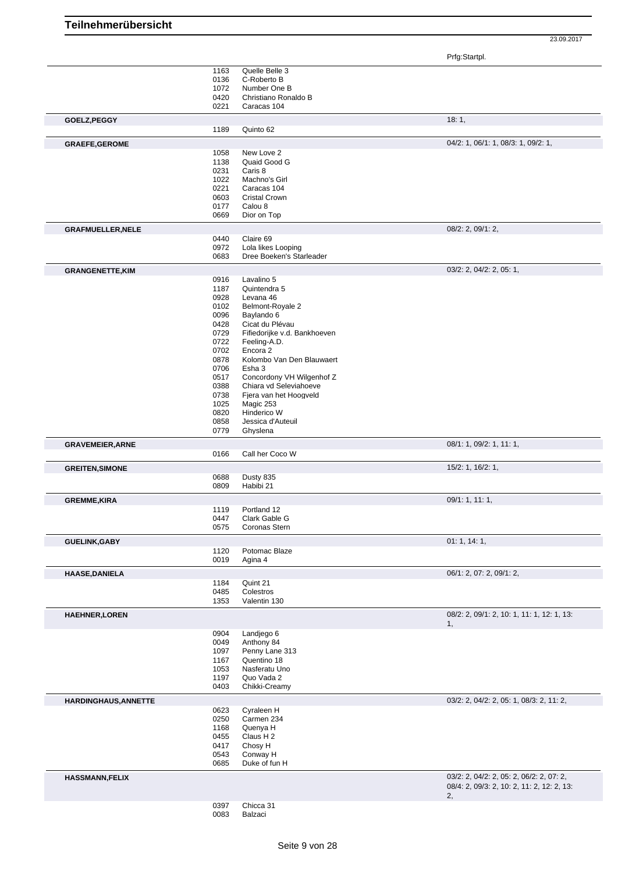Prfg:Startpl.

|                                                                                                                         | 1163         |                              |                                                                                        |
|-------------------------------------------------------------------------------------------------------------------------|--------------|------------------------------|----------------------------------------------------------------------------------------|
|                                                                                                                         |              | Quelle Belle 3               |                                                                                        |
|                                                                                                                         | 0136         | C-Roberto B                  |                                                                                        |
|                                                                                                                         | 1072         | Number One B                 |                                                                                        |
|                                                                                                                         | 0420         | Christiano Ronaldo B         |                                                                                        |
|                                                                                                                         |              |                              |                                                                                        |
|                                                                                                                         | 0221         | Caracas 104                  |                                                                                        |
| GOELZ, PEGGY                                                                                                            |              |                              | 18:1,                                                                                  |
|                                                                                                                         | 1189         | Quinto 62                    |                                                                                        |
|                                                                                                                         |              |                              |                                                                                        |
| <b>GRAEFE, GEROME</b>                                                                                                   |              |                              | 04/2: 1, 06/1: 1, 08/3: 1, 09/2: 1,                                                    |
|                                                                                                                         | 1058         | New Love 2                   |                                                                                        |
|                                                                                                                         | 1138         | Quaid Good G                 |                                                                                        |
|                                                                                                                         | 0231         | Caris 8                      |                                                                                        |
|                                                                                                                         | 1022         | Machno's Girl                |                                                                                        |
|                                                                                                                         |              |                              |                                                                                        |
|                                                                                                                         | 0221         | Caracas 104                  |                                                                                        |
|                                                                                                                         | 0603         | <b>Cristal Crown</b>         |                                                                                        |
|                                                                                                                         | 0177         | Calou 8                      |                                                                                        |
|                                                                                                                         | 0669         | Dior on Top                  |                                                                                        |
|                                                                                                                         |              |                              |                                                                                        |
| <b>GRAFMUELLER, NELE</b>                                                                                                |              |                              | $08/2$ : 2, $09/1$ : 2,                                                                |
|                                                                                                                         | 0440         | Claire 69                    |                                                                                        |
|                                                                                                                         | 0972         | Lola likes Looping           |                                                                                        |
|                                                                                                                         | 0683         | Dree Boeken's Starleader     |                                                                                        |
| <b>GRANGENETTE, KIM</b>                                                                                                 |              |                              | 03/2: 2, 04/2: 2, 05: 1,                                                               |
|                                                                                                                         | 0916         | Lavalino 5                   |                                                                                        |
|                                                                                                                         |              |                              |                                                                                        |
|                                                                                                                         | 1187         | Quintendra 5                 |                                                                                        |
|                                                                                                                         | 0928         | Levana 46                    |                                                                                        |
|                                                                                                                         | 0102         | Belmont-Royale 2             |                                                                                        |
|                                                                                                                         | 0096         | Baylando 6                   |                                                                                        |
|                                                                                                                         |              |                              |                                                                                        |
|                                                                                                                         | 0428         | Cicat du Plévau              |                                                                                        |
|                                                                                                                         | 0729         | Fifiedorijke v.d. Bankhoeven |                                                                                        |
|                                                                                                                         | 0722         | Feeling-A.D.                 |                                                                                        |
|                                                                                                                         | 0702         | Encora 2                     |                                                                                        |
|                                                                                                                         | 0878         | Kolombo Van Den Blauwaert    |                                                                                        |
|                                                                                                                         |              |                              |                                                                                        |
|                                                                                                                         | 0706         | Esha 3                       |                                                                                        |
|                                                                                                                         | 0517         | Concordony VH Wilgenhof Z    |                                                                                        |
|                                                                                                                         | 0388         | Chiara vd Seleviahoeve       |                                                                                        |
|                                                                                                                         | 0738         | Fjera van het Hoogveld       |                                                                                        |
|                                                                                                                         | 1025         | Magic 253                    |                                                                                        |
|                                                                                                                         |              |                              |                                                                                        |
|                                                                                                                         | 0820         | Hinderico W                  |                                                                                        |
|                                                                                                                         | 0858         | Jessica d'Auteuil            |                                                                                        |
|                                                                                                                         | 0779         | Ghyslena                     |                                                                                        |
|                                                                                                                         |              |                              | 08/1: 1, 09/2: 1, 11: 1,                                                               |
| <b>GRAVEMEIER, ARNE</b>                                                                                                 | 0166         | Call her Coco W              |                                                                                        |
|                                                                                                                         |              |                              |                                                                                        |
| <b>GREITEN, SIMONE</b>                                                                                                  |              |                              | 15/2: 1, 16/2: 1,                                                                      |
|                                                                                                                         | 0688         | Dusty 835                    |                                                                                        |
|                                                                                                                         | 0809         | Habibi 21                    |                                                                                        |
| <b>GREMME,KIRA</b>                                                                                                      |              |                              | 09/1: 1, 11: 1,                                                                        |
|                                                                                                                         | 1119         | Portland 12                  |                                                                                        |
|                                                                                                                         | 0447         | Clark Gable G                |                                                                                        |
|                                                                                                                         |              | Coronas Stern                |                                                                                        |
|                                                                                                                         |              |                              |                                                                                        |
|                                                                                                                         | 0575         |                              |                                                                                        |
|                                                                                                                         |              |                              | 01:1, 14:1,                                                                            |
|                                                                                                                         | 1120         | Potomac Blaze                |                                                                                        |
|                                                                                                                         | 0019         | Agina 4                      |                                                                                        |
|                                                                                                                         |              |                              | 06/1: 2, 07: 2, 09/1: 2,                                                               |
|                                                                                                                         | 1184         | Quint 21                     |                                                                                        |
|                                                                                                                         |              | Colestros                    |                                                                                        |
|                                                                                                                         | 0485<br>1353 | Valentin 130                 |                                                                                        |
|                                                                                                                         |              |                              |                                                                                        |
|                                                                                                                         |              |                              | 08/2: 2, 09/1: 2, 10: 1, 11: 1, 12: 1, 13:<br>1,                                       |
|                                                                                                                         |              |                              |                                                                                        |
|                                                                                                                         | 0904         | Landjego 6                   |                                                                                        |
|                                                                                                                         | 0049         | Anthony 84                   |                                                                                        |
|                                                                                                                         | 1097         | Penny Lane 313               |                                                                                        |
|                                                                                                                         | 1167         | Quentino 18                  |                                                                                        |
|                                                                                                                         | 1053         | Nasferatu Uno                |                                                                                        |
|                                                                                                                         |              |                              |                                                                                        |
|                                                                                                                         | 1197         | Quo Vada 2                   |                                                                                        |
|                                                                                                                         | 0403         | Chikki-Creamy                |                                                                                        |
|                                                                                                                         |              |                              | 03/2: 2, 04/2: 2, 05: 1, 08/3: 2, 11: 2,                                               |
|                                                                                                                         | 0623         | Cyraleen H                   |                                                                                        |
|                                                                                                                         |              |                              |                                                                                        |
|                                                                                                                         | 0250         | Carmen 234                   |                                                                                        |
|                                                                                                                         | 1168         | Quenya H                     |                                                                                        |
|                                                                                                                         | 0455         | Claus H <sub>2</sub>         |                                                                                        |
|                                                                                                                         | 0417         | Chosy H                      |                                                                                        |
|                                                                                                                         | 0543         | Conway H                     |                                                                                        |
|                                                                                                                         | 0685         | Duke of fun H                |                                                                                        |
|                                                                                                                         |              |                              |                                                                                        |
|                                                                                                                         |              |                              | 03/2: 2, 04/2: 2, 05: 2, 06/2: 2, 07: 2,<br>08/4: 2, 09/3: 2, 10: 2, 11: 2, 12: 2, 13: |
|                                                                                                                         |              |                              | 2,                                                                                     |
| <b>GUELINK, GABY</b><br><b>HAASE, DANIELA</b><br><b>HAEHNER, LOREN</b><br>HARDINGHAUS, ANNETTE<br><b>HASSMANN,FELIX</b> | 0397         | Chicca 31                    |                                                                                        |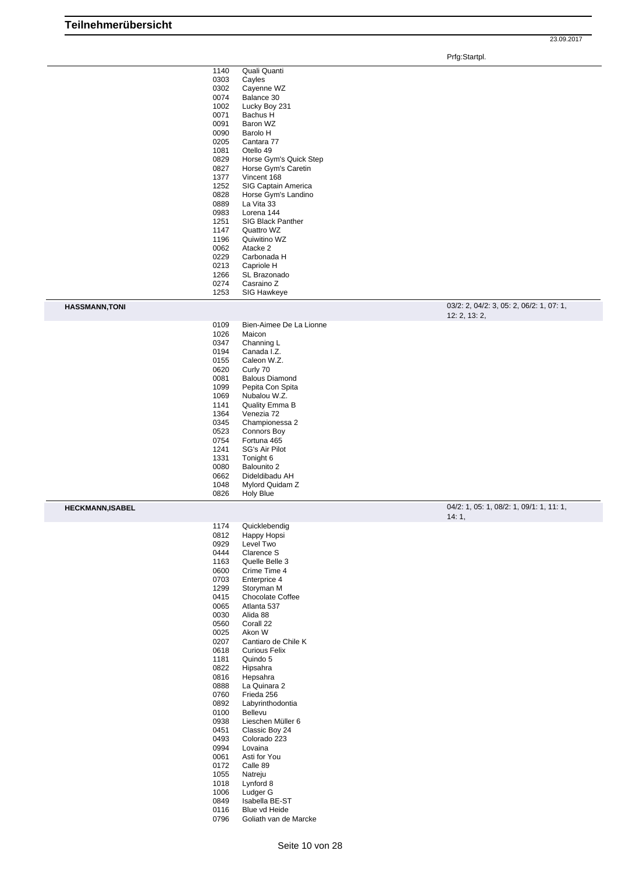Prfg:Startpl.

| 1140 | Quali Quanti           |  |
|------|------------------------|--|
| 0303 | Cayles                 |  |
| 0302 | Cayenne WZ             |  |
| 0074 | Balance 30             |  |
| 1002 | Lucky Boy 231          |  |
| 0071 | Bachus H               |  |
| 0091 | Baron WZ               |  |
| 0090 | Barolo H               |  |
| 0205 | Cantara 77             |  |
| 1081 | Otello 49              |  |
| 0829 | Horse Gym's Quick Step |  |
| 0827 | Horse Gym's Caretin    |  |
| 1377 | Vincent 168            |  |
| 1252 | SIG Captain America    |  |
| 0828 | Horse Gym's Landino    |  |
| 0889 | La Vita 33             |  |
| 0983 | Lorena 144             |  |
| 1251 | SIG Black Panther      |  |
| 1147 | Quattro WZ             |  |
| 1196 | Quiwitino WZ           |  |
| 0062 | Atacke 2               |  |
| 0229 | Carbonada H            |  |
| 0213 | Capriole H             |  |
| 1266 | SL Brazonado           |  |
| 0274 | Casraino Z             |  |
| 1253 | <b>SIG Hawkeye</b>     |  |

**HASSMANN,TONI** 03/2: 2, 04/2: 3, 05: 2, 06/2: 1, 07: 1, 12: 2, 13: 2,

| 1026 | Maicon                |
|------|-----------------------|
| 0347 | Channing L            |
| 0194 | Canada I.Z.           |
| 0155 | Caleon W.Z.           |
| 0620 | Curly 70              |
| 0081 | <b>Balous Diamond</b> |
| 1099 | Pepita Con Spita      |
| 1069 | Nubalou W.Z.          |
| 1141 | Quality Emma B        |
| 1364 | Venezia 72            |
| 0345 | Championessa 2        |
| 0523 | Connors Boy           |
| 0754 | Fortuna 465           |
| 1241 | SG's Air Pilot        |
| 1331 | Tonight 6             |
| 0080 | Balounito 2           |
| 0662 | Dideldibadu AH        |
| 1048 | Mylord Quidam Z       |
| 0826 | <b>Holy Blue</b>      |

Bien-Aimee De La Lionne

**HECKMANN,ISABEL** 04/2: 1, 05: 1, 08/2: 1, 09/1: 1, 11: 1, 14: 1,

1174 Quicklebendig<br>0812 Happy Hopsi Happy Hopsi Level Two 0444 Clarence S<br>1163 Quelle Belle 1163 Quelle Belle 3<br>0600 Crime Time 4 Crime Time 4 Enterprice 4 Storyman M 0415 Chocolate Coffee<br>0065 Atlanta 537 Atlanta 537 0030 Alida 88<br>0560 Corall 22 0560 Corall 22<br>0025 Akon W 0025 Akon W<br>0207 Cantiaro Cantiaro de Chile K Curious Felix 1181 Quindo 5<br>0822 Hipsahra 0822 Hipsahra<br>0816 Hepsahra 0816 Hepsahra<br>0888 La Quinara 0888 La Quinara 2<br>0760 Frieda 256 0760 Frieda 256<br>0892 Labyrinthod 0892 Labyrinthodontia<br>0100 Bellevu 0100 Bellevu<br>0938 Liescher 0938 Lieschen Müller 6<br>0451 Classic Boy 24 0451 Classic Boy 24<br>0493 Colorado 223 0493 Colorado 223<br>0994 Lovaina 0994 Lovaina<br>0061 Asti for Y 0061 Asti for You<br>0172 Calle 89 0172 Calle 89<br>1055 Natreju<br>1018 Lynford 8 Natreju 1018 Lynford 8<br>1006 Ludger G 1006 Ludger G<br>0849 Isabella B 0849 Isabella BE-ST<br>0116 Blue vd Heide Blue vd Heide

Goliath van de Marcke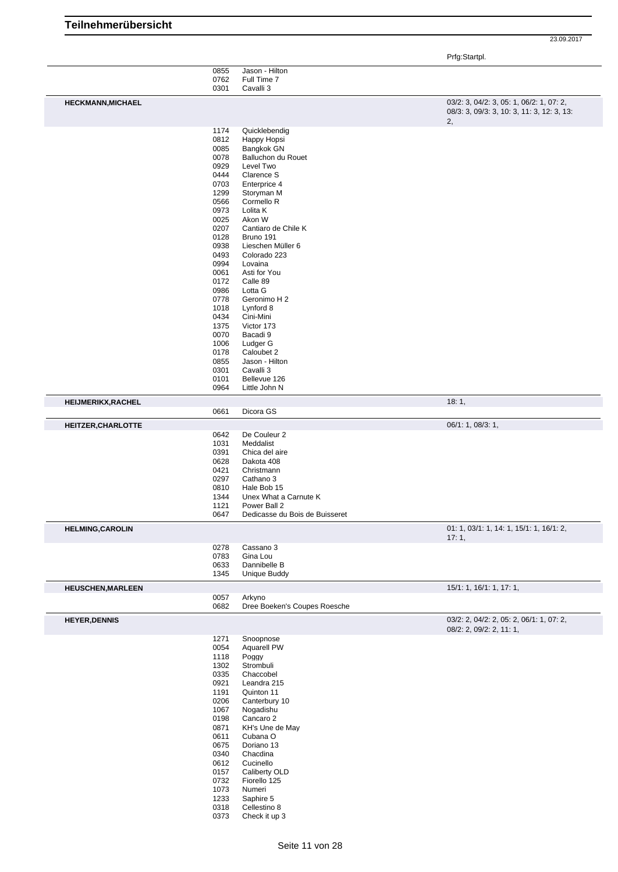Prfg:Startpl.

|                                                                             | 0855 | Jason - Hilton                 |                                            |
|-----------------------------------------------------------------------------|------|--------------------------------|--------------------------------------------|
|                                                                             | 0762 | Full Time 7                    |                                            |
|                                                                             | 0301 | Cavalli 3                      |                                            |
|                                                                             |      |                                |                                            |
| <b>HECKMANN, MICHAEL</b>                                                    |      |                                | 03/2: 3, 04/2: 3, 05: 1, 06/2: 1, 07: 2,   |
|                                                                             |      |                                | 08/3: 3, 09/3: 3, 10: 3, 11: 3, 12: 3, 13: |
|                                                                             |      |                                |                                            |
|                                                                             |      |                                | 2,                                         |
|                                                                             | 1174 | Quicklebendig                  |                                            |
|                                                                             | 0812 | Happy Hopsi                    |                                            |
|                                                                             | 0085 | Bangkok GN                     |                                            |
|                                                                             | 0078 | Balluchon du Rouet             |                                            |
|                                                                             |      |                                |                                            |
|                                                                             | 0929 | Level Two                      |                                            |
|                                                                             | 0444 | Clarence S                     |                                            |
|                                                                             | 0703 | Enterprice 4                   |                                            |
|                                                                             | 1299 | Storyman M                     |                                            |
|                                                                             | 0566 | Cormello R                     |                                            |
|                                                                             |      |                                |                                            |
|                                                                             | 0973 | Lolita K                       |                                            |
|                                                                             | 0025 | Akon W                         |                                            |
|                                                                             | 0207 | Cantiaro de Chile K            |                                            |
|                                                                             | 0128 | Bruno 191                      |                                            |
|                                                                             | 0938 | Lieschen Müller 6              |                                            |
|                                                                             |      |                                |                                            |
|                                                                             | 0493 | Colorado 223                   |                                            |
|                                                                             | 0994 | Lovaina                        |                                            |
|                                                                             | 0061 | Asti for You                   |                                            |
|                                                                             | 0172 | Calle 89                       |                                            |
|                                                                             | 0986 | Lotta G                        |                                            |
|                                                                             |      |                                |                                            |
|                                                                             | 0778 | Geronimo H 2                   |                                            |
|                                                                             | 1018 | Lynford 8                      |                                            |
|                                                                             | 0434 | Cini-Mini                      |                                            |
|                                                                             | 1375 | Victor 173                     |                                            |
|                                                                             |      |                                |                                            |
|                                                                             | 0070 | Bacadi 9                       |                                            |
|                                                                             | 1006 | Ludger G                       |                                            |
|                                                                             | 0178 | Caloubet 2                     |                                            |
|                                                                             | 0855 | Jason - Hilton                 |                                            |
|                                                                             | 0301 | Cavalli 3                      |                                            |
|                                                                             | 0101 | Bellevue 126                   |                                            |
|                                                                             |      |                                |                                            |
|                                                                             | 0964 | Little John N                  |                                            |
| <b>HEIJMERIKX, RACHEL</b>                                                   |      |                                | 18:1,                                      |
|                                                                             |      |                                |                                            |
|                                                                             | 0661 | Dicora GS                      |                                            |
| HEITZER, CHARLOTTE                                                          |      |                                | 06/1: 1, 08/3: 1,                          |
|                                                                             |      |                                |                                            |
|                                                                             | 0642 | De Couleur 2                   |                                            |
|                                                                             | 1031 | Meddalist                      |                                            |
|                                                                             | 0391 | Chica del aire                 |                                            |
|                                                                             | 0628 | Dakota 408                     |                                            |
|                                                                             |      |                                |                                            |
|                                                                             |      |                                |                                            |
|                                                                             | 0421 | Christmann                     |                                            |
|                                                                             | 0297 | Cathano 3                      |                                            |
|                                                                             | 0810 | Hale Bob 15                    |                                            |
|                                                                             | 1344 | Unex What a Carnute K          |                                            |
|                                                                             |      |                                |                                            |
|                                                                             | 1121 | Power Ball 2                   |                                            |
|                                                                             | 0647 | Dedicasse du Bois de Buisseret |                                            |
|                                                                             |      |                                | 01: 1, 03/1: 1, 14: 1, 15/1: 1, 16/1: 2,   |
|                                                                             |      |                                |                                            |
|                                                                             |      |                                | 17:1,                                      |
|                                                                             | 0278 | Cassano 3                      |                                            |
|                                                                             | 0783 | Gina Lou                       |                                            |
|                                                                             | 0633 | Dannibelle B                   |                                            |
|                                                                             | 1345 | Unique Buddy                   |                                            |
|                                                                             |      |                                |                                            |
|                                                                             |      |                                | 15/1: 1, 16/1: 1, 17: 1,                   |
|                                                                             | 0057 | Arkyno                         |                                            |
|                                                                             |      |                                |                                            |
|                                                                             | 0682 | Dree Boeken's Coupes Roesche   |                                            |
|                                                                             |      |                                | 03/2: 2, 04/2: 2, 05: 2, 06/1: 1, 07: 2,   |
|                                                                             |      |                                |                                            |
|                                                                             |      |                                | 08/2: 2, 09/2: 2, 11: 1,                   |
|                                                                             | 1271 | Snoopnose                      |                                            |
|                                                                             | 0054 | <b>Aquarell PW</b>             |                                            |
|                                                                             | 1118 | Poggy                          |                                            |
|                                                                             |      |                                |                                            |
|                                                                             | 1302 | Strombuli                      |                                            |
|                                                                             | 0335 | Chaccobel                      |                                            |
|                                                                             | 0921 | Leandra 215                    |                                            |
|                                                                             | 1191 | Quinton 11                     |                                            |
|                                                                             | 0206 | Canterbury 10                  |                                            |
|                                                                             | 1067 | Nogadishu                      |                                            |
|                                                                             |      |                                |                                            |
|                                                                             | 0198 | Cancaro 2                      |                                            |
|                                                                             | 0871 | KH's Une de May                |                                            |
|                                                                             | 0611 | Cubana O                       |                                            |
|                                                                             | 0675 | Doriano 13                     |                                            |
|                                                                             |      |                                |                                            |
|                                                                             | 0340 | Chacdina                       |                                            |
|                                                                             | 0612 | Cucinello                      |                                            |
|                                                                             | 0157 | Caliberty OLD                  |                                            |
|                                                                             | 0732 | Fiorello 125                   |                                            |
|                                                                             |      | Numeri                         |                                            |
|                                                                             | 1073 |                                |                                            |
|                                                                             | 1233 | Saphire 5                      |                                            |
|                                                                             | 0318 | Cellestino 8                   |                                            |
| <b>HELMING, CAROLIN</b><br><b>HEUSCHEN, MARLEEN</b><br><b>HEYER, DENNIS</b> | 0373 | Check it up 3                  |                                            |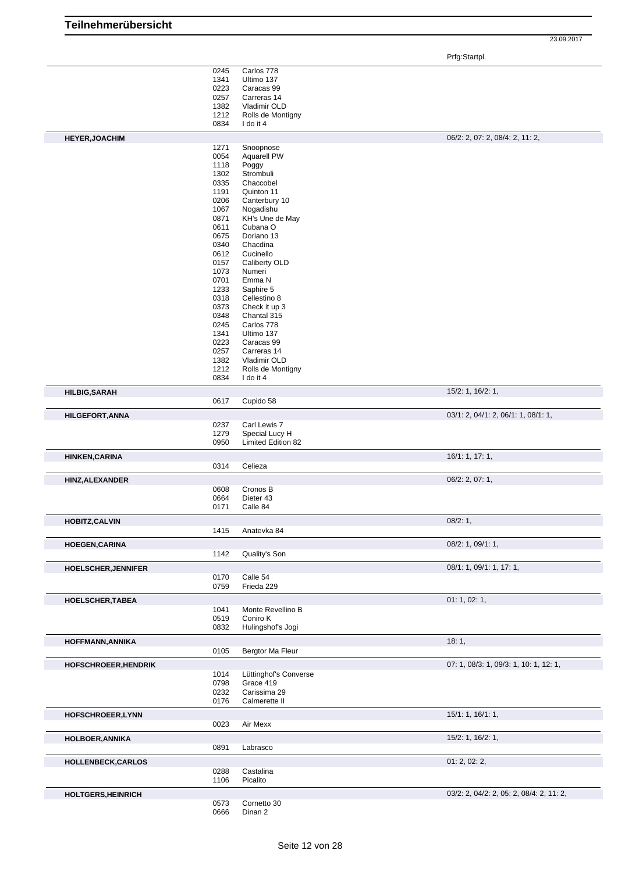|                             |              |                                             | Prfg:Startpl.                            |
|-----------------------------|--------------|---------------------------------------------|------------------------------------------|
|                             | 0245         | Carlos 778                                  |                                          |
|                             | 1341         | Ultimo 137                                  |                                          |
|                             | 0223         | Caracas 99                                  |                                          |
|                             | 0257         | Carreras 14                                 |                                          |
|                             | 1382         | Vladimir OLD                                |                                          |
|                             | 1212         | Rolls de Montigny                           |                                          |
|                             | 0834         | I do it 4                                   |                                          |
| <b>HEYER, JOACHIM</b>       | 1271         | Snoopnose                                   | 06/2: 2, 07: 2, 08/4: 2, 11: 2,          |
|                             | 0054         | <b>Aquarell PW</b>                          |                                          |
|                             | 1118         | Poggy                                       |                                          |
|                             | 1302         | Strombuli                                   |                                          |
|                             | 0335         | Chaccobel                                   |                                          |
|                             | 1191<br>0206 | Quinton 11<br>Canterbury 10                 |                                          |
|                             | 1067         | Nogadishu                                   |                                          |
|                             | 0871         | KH's Une de May                             |                                          |
|                             | 0611         | Cubana O                                    |                                          |
|                             | 0675         | Doriano 13                                  |                                          |
|                             | 0340         | Chacdina                                    |                                          |
|                             | 0612<br>0157 | Cucinello<br>Caliberty OLD                  |                                          |
|                             | 1073         | Numeri                                      |                                          |
|                             | 0701         | Emma N                                      |                                          |
|                             | 1233         | Saphire 5                                   |                                          |
|                             | 0318         | Cellestino 8                                |                                          |
|                             | 0373         | Check it up 3                               |                                          |
|                             | 0348         | Chantal 315<br>Carlos 778                   |                                          |
|                             | 0245<br>1341 | Ultimo 137                                  |                                          |
|                             | 0223         | Caracas 99                                  |                                          |
|                             | 0257         | Carreras 14                                 |                                          |
|                             | 1382         | Vladimir OLD                                |                                          |
|                             | 1212         | Rolls de Montigny                           |                                          |
|                             | 0834         | I do it 4                                   |                                          |
| <b>HILBIG, SARAH</b>        |              |                                             | 15/2: 1, 16/2: 1,                        |
|                             | 0617         | Cupido 58                                   |                                          |
| <b>HILGEFORT, ANNA</b>      |              |                                             | 03/1: 2, 04/1: 2, 06/1: 1, 08/1: 1,      |
|                             | 0237         | Carl Lewis 7                                |                                          |
|                             | 1279<br>0950 | Special Lucy H<br><b>Limited Edition 82</b> |                                          |
|                             |              |                                             |                                          |
| <b>HINKEN, CARINA</b>       | 0314         | Celieza                                     | 16/1: 1, 17: 1,                          |
|                             |              |                                             | 06/2: 2, 07: 1,                          |
| <b>HINZ, ALEXANDER</b>      | 0608         | Cronos B                                    |                                          |
|                             | 0664         | Dieter 43                                   |                                          |
|                             | 0171         | Calle 84                                    |                                          |
| <b>HOBITZ, CALVIN</b>       |              |                                             | 08/2:1,                                  |
|                             | 1415         | Anatevka 84                                 |                                          |
| <b>HOEGEN, CARINA</b>       | 1142         | Quality's Son                               | 08/2: 1, 09/1: 1,                        |
|                             |              |                                             |                                          |
| HOELSCHER, JENNIFER         | 0170         | Calle 54                                    | 08/1: 1, 09/1: 1, 17: 1,                 |
|                             | 0759         | Frieda 229                                  |                                          |
|                             |              |                                             |                                          |
| HOELSCHER, TABEA            | 1041         | Monte Revellino B                           | 01: 1, 02: 1,                            |
|                             | 0519         | Coniro K                                    |                                          |
|                             | 0832         | Hulingshof's Jogi                           |                                          |
| HOFFMANN, ANNIKA            |              |                                             | 18:1,                                    |
|                             | 0105         | Bergtor Ma Fleur                            |                                          |
|                             |              |                                             |                                          |
| <b>HOFSCHROEER, HENDRIK</b> | 1014         | Lüttinghof's Converse                       | 07: 1, 08/3: 1, 09/3: 1, 10: 1, 12: 1,   |
|                             | 0798         | Grace 419                                   |                                          |
|                             | 0232         | Carissima 29                                |                                          |
|                             | 0176         | Calmerette II                               |                                          |
| HOFSCHROEER, LYNN           |              |                                             | 15/1: 1, 16/1: 1,                        |
|                             | 0023         | Air Mexx                                    |                                          |
| <b>HOLBOER, ANNIKA</b>      |              |                                             | 15/2: 1, 16/2: 1,                        |
|                             | 0891         | Labrasco                                    |                                          |
| <b>HOLLENBECK,CARLOS</b>    |              |                                             | 01: 2, 02: 2,                            |
|                             | 0288         | Castalina                                   |                                          |
|                             | 1106         | Picalito                                    |                                          |
| <b>HOLTGERS, HEINRICH</b>   |              |                                             | 03/2: 2, 04/2: 2, 05: 2, 08/4: 2, 11: 2, |
|                             | 0573         | Cornetto 30                                 |                                          |
|                             | 0666         | Dinan 2                                     |                                          |

**Teilnehmerübersicht**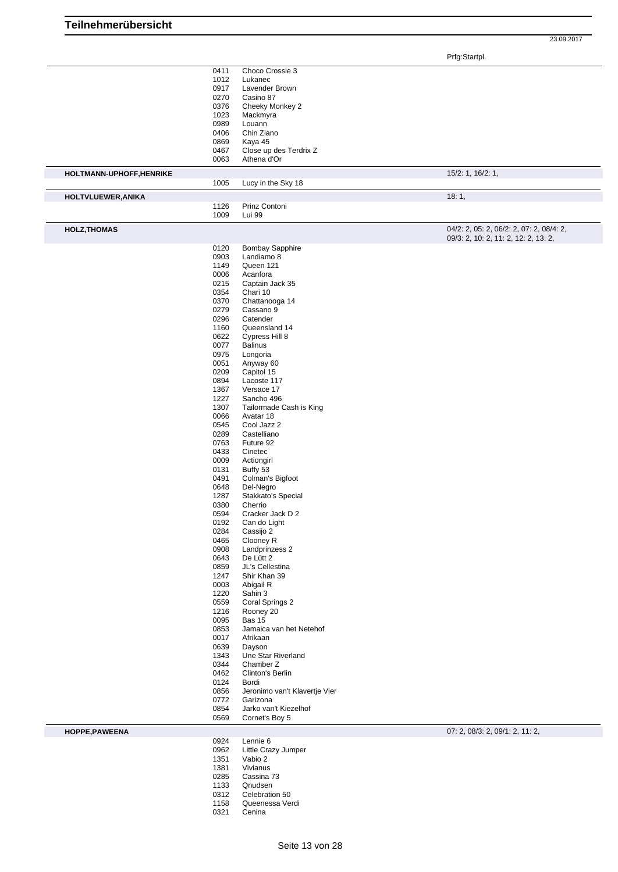Prfg:Startpl.

|                          | 0411         | Choco Crossie 3               |                                          |
|--------------------------|--------------|-------------------------------|------------------------------------------|
|                          | 1012         | Lukanec                       |                                          |
|                          | 0917         | Lavender Brown                |                                          |
|                          | 0270         | Casino 87                     |                                          |
|                          | 0376         | Cheeky Monkey 2               |                                          |
|                          | 1023         | Mackmyra                      |                                          |
|                          | 0989         |                               |                                          |
|                          |              | Louann                        |                                          |
|                          | 0406         | Chin Ziano                    |                                          |
|                          | 0869         | Kaya 45                       |                                          |
|                          | 0467         | Close up des Terdrix Z        |                                          |
|                          | 0063         | Athena d'Or                   |                                          |
|                          |              |                               |                                          |
| HOLTMANN-UPHOFF, HENRIKE |              |                               | 15/2: 1, 16/2: 1,                        |
|                          | 1005         | Lucy in the Sky 18            |                                          |
|                          |              |                               |                                          |
| HOLTVLUEWER, ANIKA       |              |                               | 18:1,                                    |
|                          | 1126         | Prinz Contoni                 |                                          |
|                          | 1009         | Lui 99                        |                                          |
|                          |              |                               |                                          |
| <b>HOLZ, THOMAS</b>      |              |                               | 04/2: 2, 05: 2, 06/2: 2, 07: 2, 08/4: 2, |
|                          |              |                               | 09/3: 2, 10: 2, 11: 2, 12: 2, 13: 2,     |
|                          | 0120         | <b>Bombay Sapphire</b>        |                                          |
|                          | 0903         | Landiamo 8                    |                                          |
|                          | 1149         | Queen 121                     |                                          |
|                          |              |                               |                                          |
|                          | 0006         | Acanfora                      |                                          |
|                          | 0215         | Captain Jack 35               |                                          |
|                          | 0354         | Chari 10                      |                                          |
|                          | 0370         | Chattanooga 14                |                                          |
|                          | 0279         | Cassano 9                     |                                          |
|                          | 0296         | Catender                      |                                          |
|                          | 1160         | Queensland 14                 |                                          |
|                          |              |                               |                                          |
|                          | 0622         | Cypress Hill 8                |                                          |
|                          | 0077         | <b>Balinus</b>                |                                          |
|                          | 0975         | Longoria                      |                                          |
|                          | 0051         | Anyway 60                     |                                          |
|                          | 0209         | Capitol 15                    |                                          |
|                          | 0894         | Lacoste 117                   |                                          |
|                          | 1367         | Versace 17                    |                                          |
|                          | 1227         |                               |                                          |
|                          |              | Sancho 496                    |                                          |
|                          | 1307         | Tailormade Cash is King       |                                          |
|                          | 0066         | Avatar 18                     |                                          |
|                          | 0545         | Cool Jazz 2                   |                                          |
|                          | 0289         | Castelliano                   |                                          |
|                          | 0763         | Future 92                     |                                          |
|                          | 0433         | Cinetec                       |                                          |
|                          | 0009         | Actiongirl                    |                                          |
|                          |              |                               |                                          |
|                          | 0131         | Buffy 53                      |                                          |
|                          | 0491         | Colman's Bigfoot              |                                          |
|                          | 0648         | Del-Negro                     |                                          |
|                          | 1287         | Stakkato's Special            |                                          |
|                          | 0380         | Cherrio                       |                                          |
|                          | 0594         | Cracker Jack D 2              |                                          |
|                          | 0192         | Can do Light                  |                                          |
|                          |              |                               |                                          |
|                          | 0284         | Cassijo 2                     |                                          |
|                          | 0465         | Clooney R                     |                                          |
|                          | 0908         | Landprinzess 2                |                                          |
|                          | 0643         | De Lütt 2                     |                                          |
|                          | 0859         | JL's Cellestina               |                                          |
|                          | 1247         | Shir Khan 39                  |                                          |
|                          | 0003         | Abigail R                     |                                          |
|                          | 1220         | Sahin 3                       |                                          |
|                          | 0559         | Coral Springs 2               |                                          |
|                          |              |                               |                                          |
|                          | 1216         | Rooney 20                     |                                          |
|                          | 0095         | <b>Bas 15</b>                 |                                          |
|                          |              | Jamaica van het Netehof       |                                          |
|                          | 0853         |                               |                                          |
|                          | 0017         | Afrikaan                      |                                          |
|                          | 0639         | Dayson                        |                                          |
|                          | 1343         | Une Star Riverland            |                                          |
|                          | 0344         | Chamber Z                     |                                          |
|                          |              |                               |                                          |
|                          | 0462         | Clinton's Berlin              |                                          |
|                          | 0124         | Bordi                         |                                          |
|                          | 0856         | Jeronimo van't Klavertje Vier |                                          |
|                          | 0772         | Garizona                      |                                          |
|                          | 0854         | Jarko van't Kiezelhof         |                                          |
|                          | 0569         | Cornet's Boy 5                |                                          |
|                          |              |                               |                                          |
| HOPPE, PAWEENA           |              |                               | 07: 2, 08/3: 2, 09/1: 2, 11: 2,          |
|                          | 0924         | Lennie 6                      |                                          |
|                          | 0962         | Little Crazy Jumper           |                                          |
|                          | 1351         | Vabio 2                       |                                          |
|                          | 1381         | Vivianus                      |                                          |
|                          | 0285         | Cassina 73                    |                                          |
|                          | 1133         | Qnudsen                       |                                          |
|                          |              |                               |                                          |
|                          | 0312         | Celebration 50                |                                          |
|                          | 1158<br>0321 | Queenessa Verdi<br>Cenina     |                                          |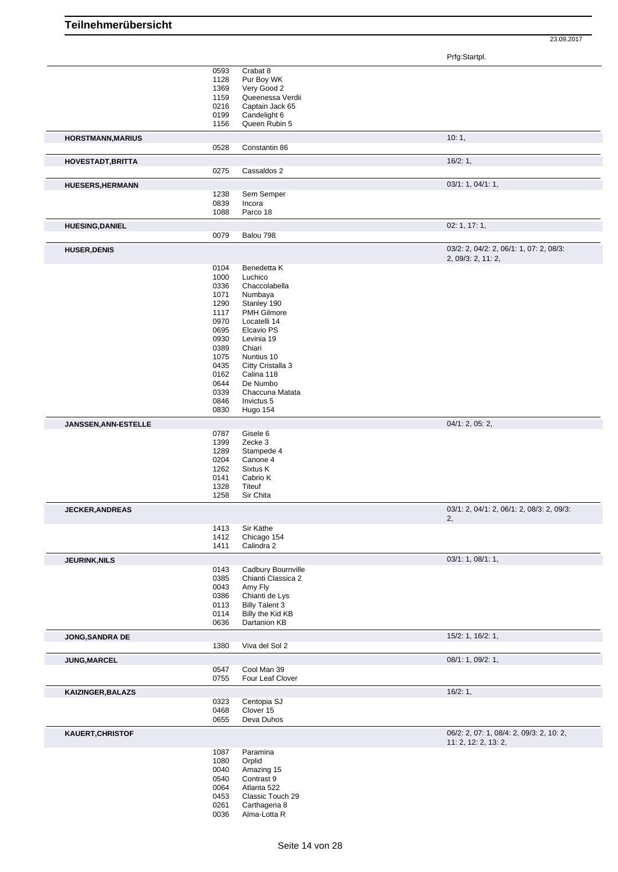|                          |      |                              | ັ                                         |
|--------------------------|------|------------------------------|-------------------------------------------|
|                          | 0593 | Crabat 8                     |                                           |
|                          | 1128 | Pur Boy WK                   |                                           |
|                          |      |                              |                                           |
|                          | 1369 | Very Good 2                  |                                           |
|                          | 1159 | Queenessa Verdii             |                                           |
|                          | 0216 | Captain Jack 65              |                                           |
|                          | 0199 | Candelight 6                 |                                           |
|                          | 1156 | Queen Rubin 5                |                                           |
|                          |      |                              |                                           |
| <b>HORSTMANN, MARIUS</b> |      |                              | 10:1,                                     |
|                          | 0528 | Constantin 86                |                                           |
| <b>HOVESTADT, BRITTA</b> |      |                              | 16/2:1,                                   |
|                          | 0275 | Cassaldos 2                  |                                           |
| <b>HUESERS, HERMANN</b>  |      |                              | 03/1: 1, 04/1: 1,                         |
|                          | 1238 | Sem Semper                   |                                           |
|                          | 0839 | Incora                       |                                           |
|                          |      |                              |                                           |
|                          | 1088 | Parco 18                     |                                           |
| <b>HUESING, DANIEL</b>   |      |                              | 02: 1, 17: 1,                             |
|                          | 0079 | Balou 798                    |                                           |
|                          |      |                              | 03/2: 2, 04/2: 2, 06/1: 1, 07: 2, 08/3:   |
| <b>HUSER, DENIS</b>      |      |                              | 2, 09/3: 2, 11: 2,                        |
|                          | 0104 | Benedetta K                  |                                           |
|                          |      |                              |                                           |
|                          | 1000 | Luchico                      |                                           |
|                          | 0336 | Chaccolabella                |                                           |
|                          | 1071 | Numbaya                      |                                           |
|                          | 1290 | Stanley 190                  |                                           |
|                          | 1117 | <b>PMH Gilmore</b>           |                                           |
|                          |      |                              |                                           |
|                          | 0970 | Locatelli 14                 |                                           |
|                          | 0695 | Elcavio PS                   |                                           |
|                          | 0930 | Levinia 19                   |                                           |
|                          | 0389 | Chiari                       |                                           |
|                          | 1075 | Nuntius 10                   |                                           |
|                          |      |                              |                                           |
|                          | 0435 | Citty Cristalla 3            |                                           |
|                          | 0162 | Calina 118                   |                                           |
|                          | 0644 | De Numbo                     |                                           |
|                          | 0339 | Chaccuna Matata              |                                           |
|                          | 0846 | Invictus 5                   |                                           |
|                          | 0830 | Hugo 154                     |                                           |
|                          |      |                              |                                           |
| JANSSEN, ANN-ESTELLE     |      |                              | 04/1: 2, 05: 2,                           |
|                          | 0787 | Gisele 6                     |                                           |
|                          | 1399 | Zecke 3                      |                                           |
|                          | 1289 | Stampede 4                   |                                           |
|                          | 0204 | Canone 4                     |                                           |
|                          |      |                              |                                           |
|                          | 1262 | Sixtus K                     |                                           |
|                          | 0141 | Cabrio K                     |                                           |
|                          | 1328 | <b>Titeuf</b>                |                                           |
|                          | 1258 | Sir Chita                    |                                           |
|                          |      |                              | 03/1: 2, 04/1: 2, 06/1: 2, 08/3: 2, 09/3: |
| <b>JECKER, ANDREAS</b>   |      |                              | 2,                                        |
|                          | 1413 | Sir Käthe                    |                                           |
|                          | 1412 | Chicago 154                  |                                           |
|                          | 1411 | Calindra 2                   |                                           |
|                          |      |                              |                                           |
| <b>JEURINK, NILS</b>     | 0143 |                              | 03/1: 1, 08/1: 1,                         |
|                          |      | Cadbury Bournville           |                                           |
|                          | 0385 | Chianti Classica 2           |                                           |
|                          | 0043 | Amy Fly                      |                                           |
|                          | 0386 | Chianti de Lys               |                                           |
|                          | 0113 | <b>Billy Talent 3</b>        |                                           |
|                          |      |                              |                                           |
|                          | 0114 | Billy the Kid KB             |                                           |
|                          | 0636 | Dartanion KB                 |                                           |
| JONG, SANDRA DE          |      |                              | 15/2: 1, 16/2: 1,                         |
|                          | 1380 | Viva del Sol 2               |                                           |
| JUNG, MARCEL             |      |                              | 08/1: 1, 09/2: 1,                         |
|                          | 0547 | Cool Man 39                  |                                           |
|                          |      |                              |                                           |
|                          | 0755 | Four Leaf Clover             |                                           |
| KAIZINGER, BALAZS        |      |                              | 16/2:1,                                   |
|                          | 0323 | Centopia SJ                  |                                           |
|                          | 0468 | Clover 15                    |                                           |
|                          | 0655 | Deva Duhos                   |                                           |
|                          |      |                              |                                           |
| KAUERT, CHRISTOF         |      |                              | 06/2: 2, 07: 1, 08/4: 2, 09/3: 2, 10: 2,  |
|                          | 1087 | Paramina                     | 11: 2, 12: 2, 13: 2,                      |
|                          |      |                              |                                           |
|                          | 1080 | Orplid                       |                                           |
|                          | 0040 | Amazing 15                   |                                           |
|                          | 0540 | Contrast 9                   |                                           |
|                          | 0064 | Atlanta 522                  |                                           |
|                          | 0453 | Classic Touch 29             |                                           |
|                          |      |                              |                                           |
|                          | 0261 | Carthagena 8<br>Alma-Lotta R |                                           |
|                          | 0036 |                              |                                           |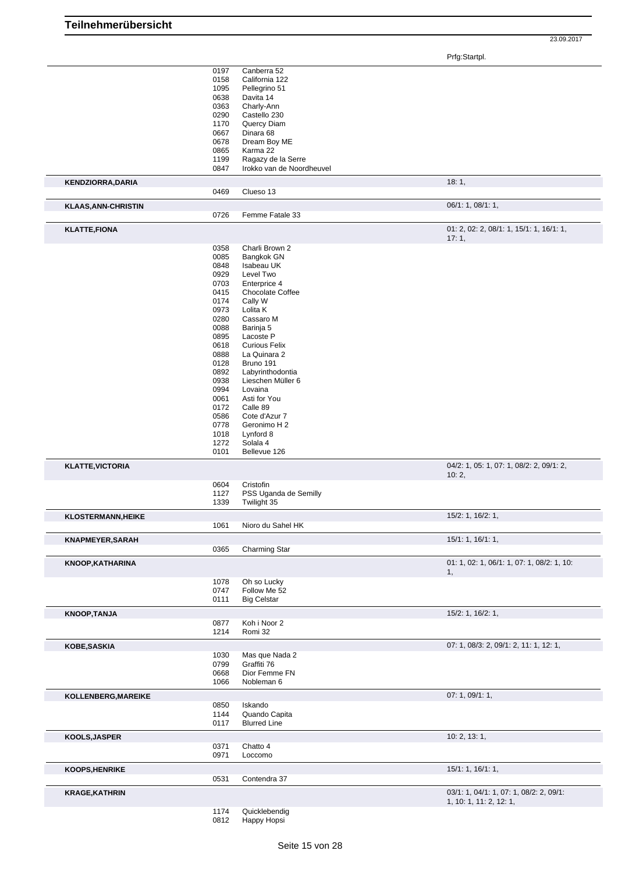Prfg:Startpl.

|                                                                                                        | 0197<br>Canberra 52                         |                                                   |
|--------------------------------------------------------------------------------------------------------|---------------------------------------------|---------------------------------------------------|
|                                                                                                        | 0158<br>California 122                      |                                                   |
|                                                                                                        | 1095<br>Pellegrino 51                       |                                                   |
|                                                                                                        | 0638<br>Davita 14                           |                                                   |
|                                                                                                        | 0363<br>Charly-Ann                          |                                                   |
|                                                                                                        | 0290<br>Castello 230                        |                                                   |
|                                                                                                        | 1170<br>Quercy Diam                         |                                                   |
|                                                                                                        |                                             |                                                   |
|                                                                                                        | 0667<br>Dinara 68                           |                                                   |
|                                                                                                        | 0678<br>Dream Boy ME                        |                                                   |
|                                                                                                        | 0865<br>Karma 22                            |                                                   |
|                                                                                                        | 1199<br>Ragazy de la Serre                  |                                                   |
|                                                                                                        | Irokko van de Noordheuvel<br>0847           |                                                   |
| <b>KENDZIORRA, DARIA</b>                                                                               |                                             | 18:1,                                             |
|                                                                                                        | 0469<br>Clueso 13                           |                                                   |
| <b>KLAAS, ANN-CHRISTIN</b>                                                                             |                                             | 06/1: 1, 08/1: 1,                                 |
|                                                                                                        | 0726<br>Femme Fatale 33                     |                                                   |
| <b>KLATTE,FIONA</b>                                                                                    |                                             | $01: 2, 02: 2, 08/1: 1, 15/1: 1, 16/1: 1,$        |
|                                                                                                        |                                             | 17:1,                                             |
|                                                                                                        | 0358<br>Charli Brown 2                      |                                                   |
|                                                                                                        | 0085<br>Bangkok GN                          |                                                   |
|                                                                                                        | 0848<br>Isabeau UK                          |                                                   |
|                                                                                                        | 0929<br>Level Two                           |                                                   |
|                                                                                                        | 0703<br>Enterprice 4                        |                                                   |
|                                                                                                        | 0415<br>Chocolate Coffee                    |                                                   |
|                                                                                                        | 0174<br>Cally W                             |                                                   |
|                                                                                                        | Lolita K<br>0973                            |                                                   |
|                                                                                                        | 0280<br>Cassaro M                           |                                                   |
|                                                                                                        | 0088<br>Barinja 5                           |                                                   |
|                                                                                                        | 0895<br>Lacoste P                           |                                                   |
|                                                                                                        | 0618<br><b>Curious Felix</b>                |                                                   |
|                                                                                                        | 0888<br>La Quinara 2                        |                                                   |
|                                                                                                        | 0128<br>Bruno 191                           |                                                   |
|                                                                                                        | 0892<br>Labyrinthodontia                    |                                                   |
|                                                                                                        | 0938<br>Lieschen Müller 6                   |                                                   |
|                                                                                                        | 0994<br>Lovaina                             |                                                   |
|                                                                                                        | 0061<br>Asti for You                        |                                                   |
|                                                                                                        | 0172<br>Calle 89                            |                                                   |
|                                                                                                        | 0586<br>Cote d'Azur 7                       |                                                   |
|                                                                                                        | 0778<br>Geronimo H 2                        |                                                   |
|                                                                                                        | 1018<br>Lynford 8                           |                                                   |
|                                                                                                        | 1272<br>Solala 4                            |                                                   |
|                                                                                                        | Bellevue 126<br>0101                        |                                                   |
|                                                                                                        |                                             |                                                   |
| <b>KLATTE, VICTORIA</b>                                                                                |                                             | 04/2: 1, 05: 1, 07: 1, 08/2: 2, 09/1: 2,<br>10:2, |
|                                                                                                        | 0604<br>Cristofin                           |                                                   |
|                                                                                                        | PSS Uganda de Semilly<br>1127               |                                                   |
|                                                                                                        | 1339<br>Twilight 35                         |                                                   |
| <b>KLOSTERMANN, HEIKE</b>                                                                              |                                             | 15/2: 1, 16/2: 1,                                 |
|                                                                                                        | 1061<br>Nioro du Sahel HK                   |                                                   |
| <b>KNAPMEYER, SARAH</b>                                                                                |                                             | 15/1: 1, 16/1: 1,                                 |
|                                                                                                        | 0365<br>Charming Star                       |                                                   |
| <b>KNOOP, KATHARINA</b>                                                                                |                                             | 01: 1, 02: 1, 06/1: 1, 07: 1, 08/2: 1, 10:        |
|                                                                                                        | 1078<br>Oh so Lucky                         | 1,                                                |
|                                                                                                        | Follow Me 52<br>0747                        |                                                   |
|                                                                                                        | <b>Big Celstar</b><br>0111                  |                                                   |
|                                                                                                        |                                             | 15/2: 1, 16/2: 1,                                 |
| <b>KNOOP, TANJA</b>                                                                                    |                                             |                                                   |
|                                                                                                        |                                             |                                                   |
|                                                                                                        | 0877<br>Koh i Noor 2<br>1214<br>Romi 32     |                                                   |
|                                                                                                        |                                             |                                                   |
|                                                                                                        |                                             | 07: 1, 08/3: 2, 09/1: 2, 11: 1, 12: 1,            |
|                                                                                                        | 1030<br>Mas que Nada 2<br>Graffiti 76       |                                                   |
|                                                                                                        | 0799                                        |                                                   |
|                                                                                                        | 0668<br>Dior Femme FN<br>Nobleman 6<br>1066 |                                                   |
|                                                                                                        |                                             |                                                   |
|                                                                                                        |                                             | 07: 1, 09/1: 1,                                   |
|                                                                                                        | 0850<br>Iskando                             |                                                   |
|                                                                                                        | Quando Capita<br>1144                       |                                                   |
|                                                                                                        | 0117<br><b>Blurred Line</b>                 |                                                   |
|                                                                                                        |                                             | 10: 2, 13: 1,                                     |
|                                                                                                        | 0371<br>Chatto 4<br>0971<br>Loccomo         |                                                   |
|                                                                                                        |                                             |                                                   |
|                                                                                                        | 0531<br>Contendra 37                        | 15/1: 1, 16/1: 1,                                 |
|                                                                                                        |                                             |                                                   |
|                                                                                                        |                                             | 03/1: 1, 04/1: 1, 07: 1, 08/2: 2, 09/1:           |
| KOBE, SASKIA<br>KOLLENBERG, MAREIKE<br>KOOLS, JASPER<br><b>KOOPS, HENRIKE</b><br><b>KRAGE, KATHRIN</b> | 1174<br>Quicklebendig                       | 1, 10: 1, 11: 2, 12: 1,                           |

0812 Happy Hopsi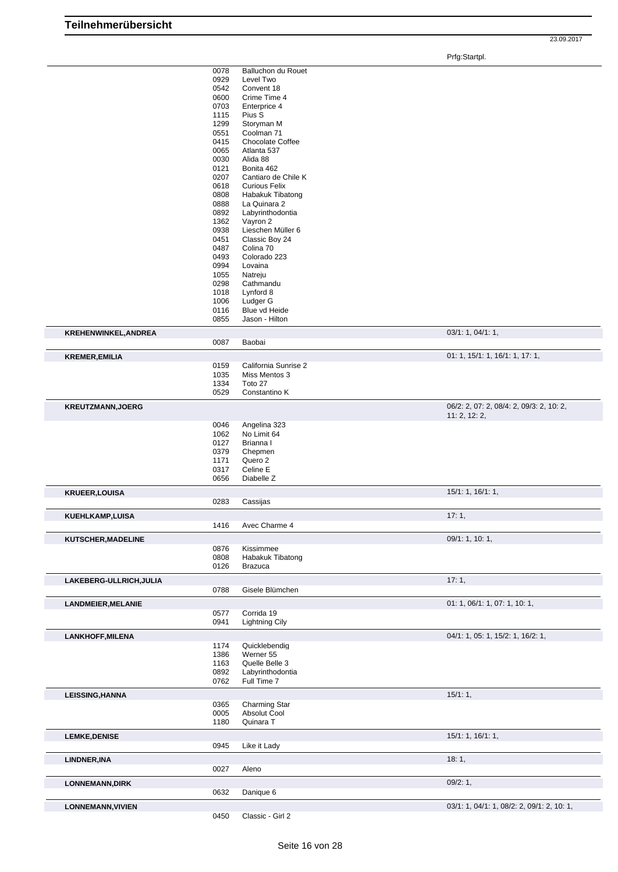Prfg:Startpl.

|                           | 0078<br>0929<br>0542<br>0600<br>0703<br>1115<br>1299<br>0551<br>0415<br>0065<br>0030<br>0121<br>0207<br>0618<br>0808<br>0888<br>0892<br>1362<br>0938<br>0451<br>0487<br>0493<br>0994<br>1055<br>0298 | Balluchon du Rouet<br>Level Two<br>Convent 18<br>Crime Time 4<br>Enterprice 4<br>Pius S<br>Storyman M<br>Coolman 71<br><b>Chocolate Coffee</b><br>Atlanta 537<br>Alida 88<br>Bonita 462<br>Cantiaro de Chile K<br><b>Curious Felix</b><br>Habakuk Tibatong<br>La Quinara 2<br>Labyrinthodontia<br>Vayron 2<br>Lieschen Müller 6<br>Classic Boy 24<br>Colina 70<br>Colorado 223<br>Lovaina<br>Natreju<br>Cathmandu |                                                           |
|---------------------------|------------------------------------------------------------------------------------------------------------------------------------------------------------------------------------------------------|-------------------------------------------------------------------------------------------------------------------------------------------------------------------------------------------------------------------------------------------------------------------------------------------------------------------------------------------------------------------------------------------------------------------|-----------------------------------------------------------|
|                           | 1018<br>1006                                                                                                                                                                                         | Lynford 8<br>Ludger G                                                                                                                                                                                                                                                                                                                                                                                             |                                                           |
|                           | 0116<br>0855                                                                                                                                                                                         | Blue vd Heide<br>Jason - Hilton                                                                                                                                                                                                                                                                                                                                                                                   |                                                           |
| KREHENWINKEL, ANDREA      |                                                                                                                                                                                                      |                                                                                                                                                                                                                                                                                                                                                                                                                   | 03/1: 1, 04/1: 1,                                         |
|                           | 0087                                                                                                                                                                                                 | Baobai                                                                                                                                                                                                                                                                                                                                                                                                            |                                                           |
| <b>KREMER, EMILIA</b>     | 0159                                                                                                                                                                                                 | California Sunrise 2                                                                                                                                                                                                                                                                                                                                                                                              | 01: 1, 15/1: 1, 16/1: 1, 17: 1,                           |
|                           | 1035<br>1334<br>0529                                                                                                                                                                                 | Miss Mentos 3<br>Toto 27<br>Constantino K                                                                                                                                                                                                                                                                                                                                                                         |                                                           |
| <b>KREUTZMANN, JOERG</b>  |                                                                                                                                                                                                      |                                                                                                                                                                                                                                                                                                                                                                                                                   | 06/2: 2, 07: 2, 08/4: 2, 09/3: 2, 10: 2,<br>11: 2, 12: 2, |
|                           | 0046<br>1062<br>0127<br>0379<br>1171<br>0317<br>0656                                                                                                                                                 | Angelina 323<br>No Limit 64<br>Brianna I<br>Chepmen<br>Quero 2<br>Celine E<br>Diabelle Z                                                                                                                                                                                                                                                                                                                          |                                                           |
| <b>KRUEER, LOUISA</b>     |                                                                                                                                                                                                      |                                                                                                                                                                                                                                                                                                                                                                                                                   | 15/1: 1, 16/1: 1,                                         |
|                           | 0283                                                                                                                                                                                                 | Cassijas                                                                                                                                                                                                                                                                                                                                                                                                          |                                                           |
| <b>KUEHLKAMP,LUISA</b>    | 1416                                                                                                                                                                                                 | Avec Charme 4                                                                                                                                                                                                                                                                                                                                                                                                     | 17:1,                                                     |
| KUTSCHER, MADELINE        |                                                                                                                                                                                                      |                                                                                                                                                                                                                                                                                                                                                                                                                   | 09/1: 1, 10: 1,                                           |
|                           | 0876<br>0808<br>0126                                                                                                                                                                                 | Kissimmee<br>Habakuk Tibatong<br><b>Brazuca</b>                                                                                                                                                                                                                                                                                                                                                                   |                                                           |
| LAKEBERG-ULLRICH, JULIA   | 0788                                                                                                                                                                                                 | Gisele Blümchen                                                                                                                                                                                                                                                                                                                                                                                                   | 17:1,                                                     |
| <b>LANDMEIER, MELANIE</b> |                                                                                                                                                                                                      |                                                                                                                                                                                                                                                                                                                                                                                                                   | 01: 1, 06/1: 1, 07: 1, 10: 1,                             |
|                           | 0577<br>0941                                                                                                                                                                                         | Corrida 19<br><b>Lightning Cily</b>                                                                                                                                                                                                                                                                                                                                                                               |                                                           |
| <b>LANKHOFF, MILENA</b>   |                                                                                                                                                                                                      |                                                                                                                                                                                                                                                                                                                                                                                                                   | 04/1: 1, 05: 1, 15/2: 1, 16/2: 1,                         |
|                           | 1174<br>1386<br>1163<br>0892<br>0762                                                                                                                                                                 | Quicklebendig<br>Werner 55<br>Quelle Belle 3<br>Labyrinthodontia<br>Full Time 7                                                                                                                                                                                                                                                                                                                                   |                                                           |
| <b>LEISSING, HANNA</b>    |                                                                                                                                                                                                      |                                                                                                                                                                                                                                                                                                                                                                                                                   | 15/1:1,                                                   |
|                           | 0365<br>0005<br>1180                                                                                                                                                                                 | Charming Star<br>Absolut Cool<br>Quinara T                                                                                                                                                                                                                                                                                                                                                                        |                                                           |
| <b>LEMKE, DENISE</b>      | 0945                                                                                                                                                                                                 | Like it Lady                                                                                                                                                                                                                                                                                                                                                                                                      | 15/1: 1, 16/1: 1,                                         |
| LINDNER, INA              | 0027                                                                                                                                                                                                 | Aleno                                                                                                                                                                                                                                                                                                                                                                                                             | 18:1,                                                     |
| <b>LONNEMANN, DIRK</b>    | 0632                                                                                                                                                                                                 | Danique 6                                                                                                                                                                                                                                                                                                                                                                                                         | 09/2:1,                                                   |
| <b>LONNEMANN, VIVIEN</b>  | 0450                                                                                                                                                                                                 | Classic - Girl 2                                                                                                                                                                                                                                                                                                                                                                                                  | 03/1: 1, 04/1: 1, 08/2: 2, 09/1: 2, 10: 1,                |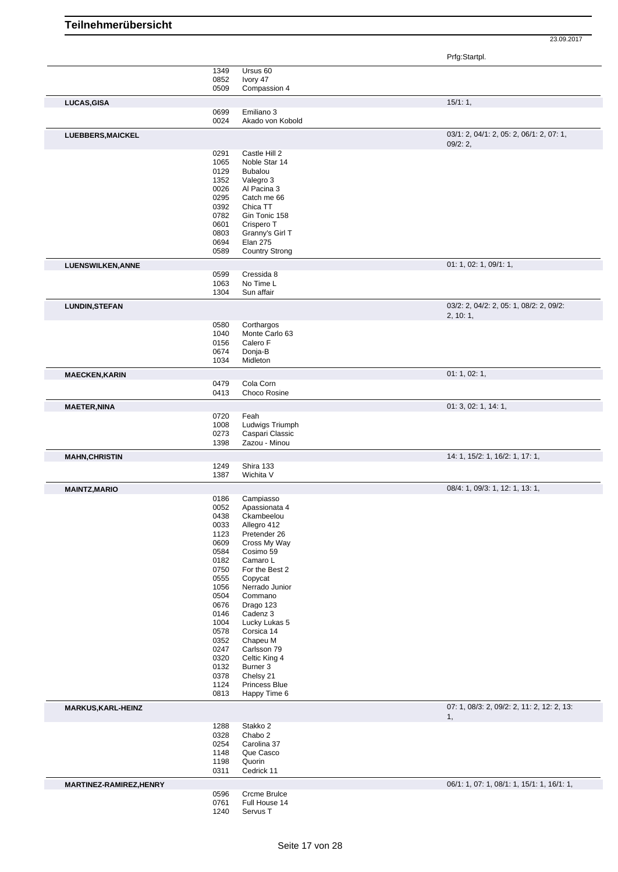Prfg:Startpl.

| 03/1: 2, 04/1: 2, 05: 2, 06/1: 2, 07: 1,<br>01: 1, 02: 1, 09/1: 1, |
|--------------------------------------------------------------------|
|                                                                    |
|                                                                    |
|                                                                    |
|                                                                    |
|                                                                    |
|                                                                    |
|                                                                    |
|                                                                    |
|                                                                    |
|                                                                    |
|                                                                    |
|                                                                    |
|                                                                    |
|                                                                    |
|                                                                    |
|                                                                    |
|                                                                    |
|                                                                    |
|                                                                    |
|                                                                    |
|                                                                    |
|                                                                    |
|                                                                    |
|                                                                    |
|                                                                    |
|                                                                    |
|                                                                    |
|                                                                    |
| 03/2: 2, 04/2: 2, 05: 1, 08/2: 2, 09/2:                            |
|                                                                    |
|                                                                    |
|                                                                    |
|                                                                    |
|                                                                    |
|                                                                    |
|                                                                    |
|                                                                    |
|                                                                    |
|                                                                    |
|                                                                    |
| 01: 3, 02: 1, 14: 1,                                               |
|                                                                    |
|                                                                    |
|                                                                    |
|                                                                    |
|                                                                    |
| 14: 1, 15/2: 1, 16/2: 1, 17: 1,                                    |
|                                                                    |
|                                                                    |
|                                                                    |
| 08/4: 1, 09/3: 1, 12: 1, 13: 1,                                    |
|                                                                    |
|                                                                    |
|                                                                    |
|                                                                    |
|                                                                    |
|                                                                    |
|                                                                    |
|                                                                    |
|                                                                    |
|                                                                    |
|                                                                    |
|                                                                    |
|                                                                    |
|                                                                    |
|                                                                    |
|                                                                    |
|                                                                    |
|                                                                    |
|                                                                    |
|                                                                    |
|                                                                    |
|                                                                    |
|                                                                    |
|                                                                    |
|                                                                    |
|                                                                    |
|                                                                    |
| 07: 1, 08/3: 2, 09/2: 2, 11: 2, 12: 2, 13:                         |
|                                                                    |
|                                                                    |
|                                                                    |
|                                                                    |
|                                                                    |
|                                                                    |
|                                                                    |
|                                                                    |
| 06/1: 1, 07: 1, 08/1: 1, 15/1: 1, 16/1: 1,                         |
|                                                                    |
|                                                                    |
| 01: 1, 02: 1,                                                      |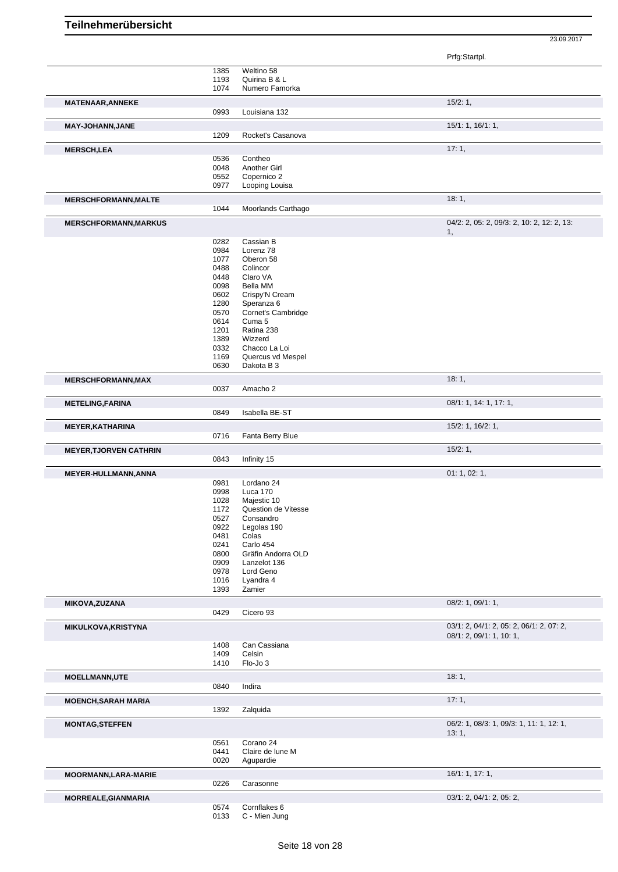Prfg:Startpl.

|                               | 1385         | Weltino 58                    |                                            |
|-------------------------------|--------------|-------------------------------|--------------------------------------------|
|                               |              |                               |                                            |
|                               | 1193         | Quirina B & L                 |                                            |
|                               | 1074         | Numero Famorka                |                                            |
|                               |              |                               | 15/2:1,                                    |
| <b>MATENAAR, ANNEKE</b>       |              |                               |                                            |
|                               | 0993         | Louisiana 132                 |                                            |
| MAY-JOHANN, JANE              |              |                               | 15/1: 1, 16/1: 1,                          |
|                               |              | Rocket's Casanova             |                                            |
|                               | 1209         |                               |                                            |
| <b>MERSCH,LEA</b>             |              |                               | 17:1,                                      |
|                               | 0536         | Contheo                       |                                            |
|                               |              |                               |                                            |
|                               | 0048         | Another Girl                  |                                            |
|                               | 0552         | Copernico 2                   |                                            |
|                               | 0977         | Looping Louisa                |                                            |
|                               |              |                               | 18:1,                                      |
| <b>MERSCHFORMANN, MALTE</b>   |              |                               |                                            |
|                               | 1044         | Moorlands Carthago            |                                            |
| <b>MERSCHFORMANN, MARKUS</b>  |              |                               | 04/2: 2, 05: 2, 09/3: 2, 10: 2, 12: 2, 13: |
|                               |              |                               | 1,                                         |
|                               |              |                               |                                            |
|                               | 0282         | Cassian B                     |                                            |
|                               | 0984         | Lorenz 78                     |                                            |
|                               | 1077         | Oberon 58                     |                                            |
|                               | 0488         | Colincor                      |                                            |
|                               | 0448         | Claro VA                      |                                            |
|                               |              |                               |                                            |
|                               | 0098         | Bella MM                      |                                            |
|                               | 0602         | Crispy'N Cream                |                                            |
|                               | 1280         | Speranza 6                    |                                            |
|                               | 0570         | Cornet's Cambridge            |                                            |
|                               |              |                               |                                            |
|                               | 0614         | Cuma 5                        |                                            |
|                               | 1201         | Ratina 238                    |                                            |
|                               | 1389         | Wizzerd                       |                                            |
|                               | 0332         | Chacco La Loi                 |                                            |
|                               |              |                               |                                            |
|                               | 1169         | Quercus vd Mespel             |                                            |
|                               | 0630         | Dakota B 3                    |                                            |
| <b>MERSCHFORMANN, MAX</b>     |              |                               | 18:1,                                      |
|                               | 0037         | Amacho 2                      |                                            |
|                               |              |                               |                                            |
| <b>METELING, FARINA</b>       |              |                               | 08/1: 1, 14: 1, 17: 1,                     |
|                               | 0849         | Isabella BE-ST                |                                            |
|                               |              |                               | 15/2: 1, 16/2: 1,                          |
| <b>MEYER, KATHARINA</b>       |              |                               |                                            |
|                               | 0716         | Fanta Berry Blue              |                                            |
| <b>MEYER, TJORVEN CATHRIN</b> |              |                               | 15/2:1,                                    |
|                               | 0843         | Infinity 15                   |                                            |
|                               |              |                               |                                            |
| <b>MEYER-HULLMANN, ANNA</b>   |              |                               | 01: 1, 02: 1,                              |
|                               | 0981         | Lordano 24                    |                                            |
|                               | 0998         | Luca 170                      |                                            |
|                               |              |                               |                                            |
|                               | 1028         | Majestic 10                   |                                            |
|                               | 1172         | Question de Vitesse           |                                            |
|                               | 0527         | Consandro                     |                                            |
|                               |              |                               |                                            |
|                               | 0922         | Legolas 190                   |                                            |
|                               | 0481         | Colas                         |                                            |
|                               | 0241         | Carlo 454                     |                                            |
|                               | 0800         | Gräfin Andorra OLD            |                                            |
|                               | 0909         | Lanzelot 136                  |                                            |
|                               |              |                               |                                            |
|                               | 0978         | Lord Geno                     |                                            |
|                               | 1016         | Lyandra 4                     |                                            |
|                               | 1393         | Zamier                        |                                            |
| <b>MIKOVA, ZUZANA</b>         |              |                               | 08/2: 1, 09/1: 1,                          |
|                               | 0429         | Cicero 93                     |                                            |
|                               |              |                               |                                            |
| MIKULKOVA, KRISTYNA           |              |                               | 03/1: 2, 04/1: 2, 05: 2, 06/1: 2, 07: 2,   |
|                               |              |                               | 08/1: 2, 09/1: 1, 10: 1,                   |
|                               | 1408         | Can Cassiana                  |                                            |
|                               | 1409         | Celsin                        |                                            |
|                               | 1410         | Flo-Jo 3                      |                                            |
|                               |              |                               |                                            |
| <b>MOELLMANN,UTE</b>          |              |                               | 18:1,                                      |
|                               | 0840         | Indira                        |                                            |
|                               |              |                               |                                            |
| <b>MOENCH, SARAH MARIA</b>    |              |                               | 17:1,                                      |
|                               | 1392         | Zalquida                      |                                            |
| <b>MONTAG, STEFFEN</b>        |              |                               | 06/2: 1, 08/3: 1, 09/3: 1, 11: 1, 12: 1,   |
|                               |              |                               | 13:1,                                      |
|                               |              | Corano 24                     |                                            |
|                               | 0561         |                               |                                            |
|                               | 0441         | Claire de lune M              |                                            |
|                               | 0020         | Agupardie                     |                                            |
| <b>MOORMANN, LARA-MARIE</b>   |              |                               | 16/1: 1, 17: 1,                            |
|                               | 0226         | Carasonne                     |                                            |
|                               |              |                               |                                            |
| MORREALE, GIANMARIA           |              |                               | 03/1: 2, 04/1: 2, 05: 2,                   |
|                               |              |                               |                                            |
|                               |              |                               |                                            |
|                               | 0574<br>0133 | Cornflakes 6<br>C - Mien Jung |                                            |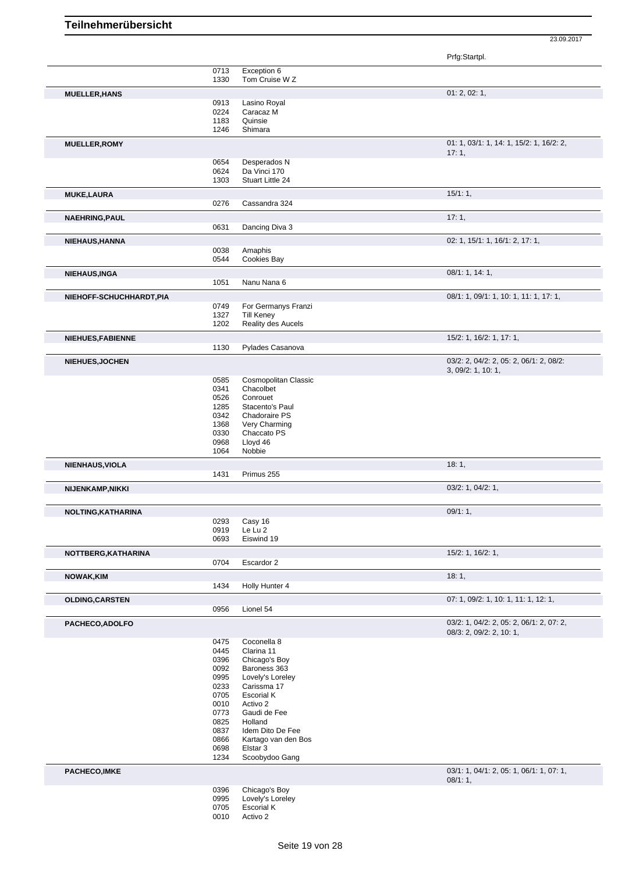|                          |              |                                | Prfg:Startpl.                                                 |
|--------------------------|--------------|--------------------------------|---------------------------------------------------------------|
|                          | 0713         | Exception 6                    |                                                               |
|                          | 1330         | Tom Cruise W Z                 |                                                               |
| <b>MUELLER, HANS</b>     |              |                                | 01: 2, 02: 1,                                                 |
|                          | 0913<br>0224 | Lasino Royal<br>Caracaz M      |                                                               |
|                          | 1183         | Quinsie                        |                                                               |
|                          | 1246         | Shimara                        |                                                               |
| <b>MUELLER, ROMY</b>     |              |                                | 01: 1, 03/1: 1, 14: 1, 15/2: 1, 16/2: 2,                      |
|                          |              |                                | 17:1,                                                         |
|                          | 0654         | Desperados N                   |                                                               |
|                          | 0624         | Da Vinci 170                   |                                                               |
|                          | 1303         | Stuart Little 24               |                                                               |
| <b>MUKE,LAURA</b>        |              |                                | 15/1:1,                                                       |
|                          | 0276         | Cassandra 324                  |                                                               |
| <b>NAEHRING, PAUL</b>    |              |                                | 17:1,                                                         |
|                          | 0631         | Dancing Diva 3                 |                                                               |
| NIEHAUS, HANNA           |              |                                | 02: 1, 15/1: 1, 16/1: 2, 17: 1,                               |
|                          | 0038         | Amaphis                        |                                                               |
|                          | 0544         | Cookies Bay                    |                                                               |
| <b>NIEHAUS, INGA</b>     |              |                                | 08/1: 1, 14: 1,                                               |
|                          | 1051         | Nanu Nana 6                    |                                                               |
|                          |              |                                |                                                               |
| NIEHOFF-SCHUCHHARDT, PIA | 0749         | For Germanys Franzi            | 08/1: 1, 09/1: 1, 10: 1, 11: 1, 17: 1,                        |
|                          | 1327         | <b>Till Keney</b>              |                                                               |
|                          | 1202         | Reality des Aucels             |                                                               |
| NIEHUES, FABIENNE        |              |                                | 15/2: 1, 16/2: 1, 17: 1,                                      |
|                          | 1130         | Pylades Casanova               |                                                               |
|                          |              |                                |                                                               |
| <b>NIEHUES, JOCHEN</b>   |              |                                | 03/2: 2, 04/2: 2, 05: 2, 06/1: 2, 08/2:<br>3, 09/2: 1, 10: 1, |
|                          | 0585         | Cosmopolitan Classic           |                                                               |
|                          | 0341         | Chacolbet                      |                                                               |
|                          | 0526         | Conrouet                       |                                                               |
|                          | 1285         | Stacento's Paul                |                                                               |
|                          | 0342         | Chadoraire PS                  |                                                               |
|                          | 1368<br>0330 | Very Charming<br>Chaccato PS   |                                                               |
|                          | 0968         | Lloyd 46                       |                                                               |
|                          | 1064         | Nobbie                         |                                                               |
| NIENHAUS, VIOLA          |              |                                | 18:1,                                                         |
|                          | 1431         | Primus 255                     |                                                               |
| <b>NIJENKAMP, NIKKI</b>  |              |                                | 03/2: 1, 04/2: 1,                                             |
|                          |              |                                |                                                               |
| NOLTING, KATHARINA       |              |                                | 09/1:1,                                                       |
|                          | 0293         | Casy 16                        |                                                               |
|                          | 0919<br>0693 | Le Lu 2<br>Eiswind 19          |                                                               |
|                          |              |                                |                                                               |
| NOTTBERG, KATHARINA      |              |                                | 15/2: 1, 16/2: 1,                                             |
|                          | 0704         | Escardor 2                     |                                                               |
| NOWAK, KIM               |              |                                | 18:1,                                                         |
|                          | 1434         | Holly Hunter 4                 |                                                               |
| <b>OLDING, CARSTEN</b>   |              |                                | 07: 1, 09/2: 1, 10: 1, 11: 1, 12: 1,                          |
|                          | 0956         | Lionel 54                      |                                                               |
| PACHECO, ADOLFO          |              |                                | 03/2: 1, 04/2: 2, 05: 2, 06/1: 2, 07: 2,                      |
|                          |              |                                | 08/3: 2, 09/2: 2, 10: 1,                                      |
|                          | 0475         | Coconella 8                    |                                                               |
|                          | 0445<br>0396 | Clarina 11<br>Chicago's Boy    |                                                               |
|                          | 0092         | Baroness 363                   |                                                               |
|                          | 0995         | Lovely's Loreley               |                                                               |
|                          | 0233         | Carissma 17                    |                                                               |
|                          | 0705         | Escorial K                     |                                                               |
|                          | 0010         | Activo 2                       |                                                               |
|                          | 0773<br>0825 | Gaudi de Fee<br>Holland        |                                                               |
|                          | 0837         | Idem Dito De Fee               |                                                               |
|                          | 0866         | Kartago van den Bos            |                                                               |
|                          | 0698         | Elstar <sub>3</sub>            |                                                               |
|                          |              | Scoobydoo Gang                 |                                                               |
|                          | 1234         |                                |                                                               |
|                          |              |                                | 03/1: 1, 04/1: 2, 05: 1, 06/1: 1, 07: 1,                      |
|                          |              |                                | 08/1:1,                                                       |
|                          | 0396         | Chicago's Boy                  |                                                               |
| PACHECO, IMKE            | 0995<br>0705 | Lovely's Loreley<br>Escorial K |                                                               |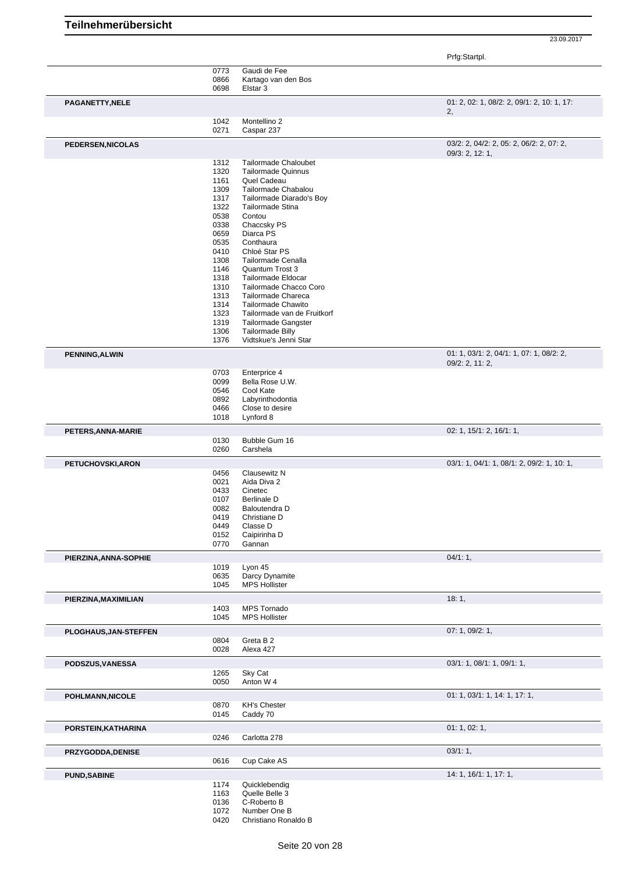| Teilnehmerübersicht |  |
|---------------------|--|
|---------------------|--|

Prfg:Startpl. 0773 Gaudi de Fee 0866 Kartago van den Bos<br>0698 Elstar 3 Elstar 3 **PAGANETTY, NELE** 01: 2, 02: 1, 08/2: 2, 09/1: 2, 10: 1, 17: 2, 1042 Montellino 2<br>0271 Caspar 237 Caspar 237 **PEDERSEN,NICOLAS** 03/2: 2, 04/2: 2, 05: 2, 06/2: 2, 07: 2, 09/3: 2, 12: 1, 1312 Tailormade Chaloubet<br>1320 Tailormade Quinnus 1320 Tailormade Quinnus<br>1161 Quel Cadeau 1161 Quel Cadeau<br>1309 Tailormade C 1309 Tailormade Chabalou<br>1317 Tailormade Diarado's 1317 Tailormade Diarado's Boy<br>1322 Tailormade Stina 1322 Tailormade Stina<br>0538 Contou 0538 Contou<br>0338 Chaccs 0338 Chaccsky PS<br>0659 Diarca PS 0659 Diarca PS<br>0535 Conthaura Conthaura 0410 Chloé Star PS<br>1308 Tailormade Ce Tailormade Cenalla 1146 Quantum Trost 3 1318 Tailormade Eldocar<br>1310 Tailormade Chacco 1310 Tailormade Chacco Coro<br>1313 Tailormade Chareca Tailormade Chareca 1314 Tailormade Chawito<br>1323 Tailormade van de F 1323 Tailormade van de Fruitkorf<br>1319 Tailormade Gangster 1319 Tailormade Gangster<br>1306 Tailormade Billy 1306 Tailormade Billy<br>1376 Vidtskue's Jenni Vidtskue's Jenni Star **PENNING,ALWIN** 01: 1, 03/1: 2, 04/1: 1, 07: 1, 08/2: 2, 09/2: 2, 11: 2, 0703 Enterprice 4 0099 Bella Rose U.W.<br>0546 Cool Kate 0546 Cool Kate<br>0892 Labyrintho 0892 Labyrinthodontia<br>0466 Close to desire Close to desire 1018 Lynford 8 **PETERS,ANNA-MARIE** 02: 0.130 Bubble Gum 16 Bubble Gum 16 0260 Carshela **PETUCHOVSKI,ARON** 03/1: 1, 04/1: 1, 08/1: 2, 09/2: 1, 10: 1, 0456 Clausewitz N 0021 Aida Diva 2<br>0433 Cinetec 0433 Cinetec<br>0107 Berlinale 0107 Berlinale D<br>0082 Baloutendra 0082 Baloutendra D<br>0419 Christiane D 0419 Christiane D<br>0449 Classe D 0449 Classe D<br>0152 Caipirinha 0152 Caipirinha D<br>0770 Gannan Gannan **PIERZINA,ANNA-SOPHIE** 04/1: 1, 1019 Lyon 45<br>0635 Darcy D 0635 Darcy Dynamite<br>1045 MPS Hollister MPS Hollister **PIERZINA,MAXIMILIAN** 18: 1, 1403 MPS Tornado 1403 MPS Tornado<br>1045 MPS Hollister **MPS Hollister PLOGHAUS,JAN-STEFFEN** 07: 1, 09/2: 1, 0804 Greta B 2 0028 Alexa 427 **PODSZUS,VANESSA** 03/1: 1, 08/1: 1, 09/1: 1, 1265 Sky Cat 0050 Anton W 4 **POHLMANN,NICOLE** 01: 1, 03/1: 1, 14: 1, 17: 1, 0870 KH's Chester 0145 Caddy 70 **PORSTEIN,KATHARINA** 01: 1, 02: 1, 0246 Carlotta 278 **PRZYGODDA,DENISE** 03/1: 1, 0616 Cup Cake AS **PUND,SABINE** 14: 1, 16/1: 1, 17: 1, 1174 Quicklebendig<br>1163 Quelle Belle 3 1163 Quelle Belle 3<br>0136 C-Roberto B 0136 C-Roberto B<br>1072 Number One 1072 Number One B<br>0420 Christiano Rona Christiano Ronaldo B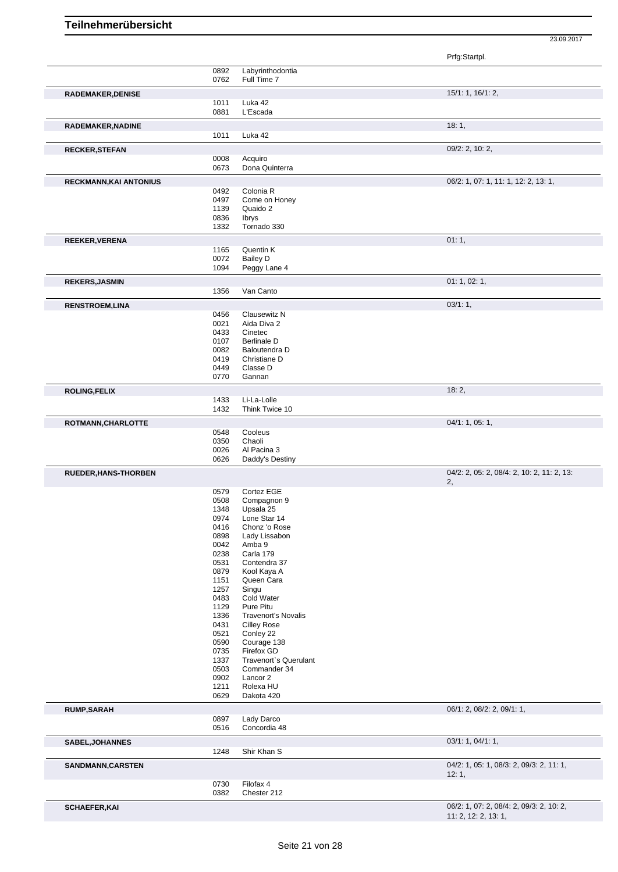|                             |              |                                     | Prfg:Startpl.                                     |
|-----------------------------|--------------|-------------------------------------|---------------------------------------------------|
|                             | 0892         | Labyrinthodontia                    |                                                   |
|                             | 0762         | Full Time 7                         |                                                   |
| RADEMAKER, DENISE           |              |                                     | 15/1: 1, 16/1: 2,                                 |
|                             | 1011<br>0881 | Luka 42<br>L'Escada                 |                                                   |
|                             |              |                                     |                                                   |
| RADEMAKER, NADINE           |              |                                     | 18:1,                                             |
|                             | 1011         | Luka 42                             |                                                   |
| <b>RECKER, STEFAN</b>       |              | Acquiro                             | 09/2: 2, 10: 2,                                   |
|                             | 0008<br>0673 | Dona Quinterra                      |                                                   |
|                             |              |                                     | 06/2: 1, 07: 1, 11: 1, 12: 2, 13: 1,              |
| RECKMANN, KAI ANTONIUS      | 0492         | Colonia R                           |                                                   |
|                             | 0497         | Come on Honey                       |                                                   |
|                             | 1139         | Quaido 2                            |                                                   |
|                             | 0836         | <b>Ibrys</b>                        |                                                   |
|                             | 1332         | Tornado 330                         |                                                   |
| <b>REEKER, VERENA</b>       |              |                                     | 01:1,                                             |
|                             | 1165         | Quentin K                           |                                                   |
|                             | 0072<br>1094 | <b>Bailey D</b>                     |                                                   |
|                             |              | Peggy Lane 4                        |                                                   |
| <b>REKERS, JASMIN</b>       |              |                                     | 01: 1, 02: 1,                                     |
|                             | 1356         | Van Canto                           |                                                   |
| <b>RENSTROEM,LINA</b>       |              |                                     | 03/1:1,                                           |
|                             | 0456         | Clausewitz N                        |                                                   |
|                             | 0021         | Aida Diva 2                         |                                                   |
|                             | 0433<br>0107 | Cinetec<br><b>Berlinale D</b>       |                                                   |
|                             | 0082         | Baloutendra D                       |                                                   |
|                             | 0419         | Christiane D                        |                                                   |
|                             | 0449         | Classe D                            |                                                   |
|                             | 0770         | Gannan                              |                                                   |
| <b>ROLING,FELIX</b>         |              |                                     | 18:2,                                             |
|                             | 1433         | Li-La-Lolle                         |                                                   |
|                             | 1432         | Think Twice 10                      |                                                   |
| ROTMANN, CHARLOTTE          |              |                                     | 04/1: 1, 05: 1,                                   |
|                             | 0548         | Cooleus                             |                                                   |
|                             | 0350         | Chaoli                              |                                                   |
|                             | 0026<br>0626 | Al Pacina 3<br>Daddy's Destiny      |                                                   |
|                             |              |                                     |                                                   |
| <b>RUEDER, HANS-THORBEN</b> |              |                                     | 04/2: 2, 05: 2, 08/4: 2, 10: 2, 11: 2, 13:<br>2,  |
|                             | 0579         | Cortez EGE                          |                                                   |
|                             | 0508         | Compagnon 9                         |                                                   |
|                             | 1348         | Upsala 25                           |                                                   |
|                             | 0974<br>0416 | Lone Star 14<br>Chonz 'o Rose       |                                                   |
|                             | 0898         | Lady Lissabon                       |                                                   |
|                             | 0042         | Amba 9                              |                                                   |
|                             | 0238         | Carla 179                           |                                                   |
|                             | 0531         | Contendra 37                        |                                                   |
|                             | 0879         | Kool Kaya A                         |                                                   |
|                             | 1151         | Queen Cara                          |                                                   |
|                             | 1257<br>0483 | Singu<br>Cold Water                 |                                                   |
|                             | 1129         | Pure Pitu                           |                                                   |
|                             | 1336         | <b>Travenort's Novalis</b>          |                                                   |
|                             | 0431         | <b>Cilley Rose</b>                  |                                                   |
|                             | 0521         | Conley 22                           |                                                   |
|                             | 0590         | Courage 138                         |                                                   |
|                             | 0735<br>1337 | Firefox GD<br>Travenort's Querulant |                                                   |
|                             | 0503         | Commander 34                        |                                                   |
|                             | 0902         | Lancor 2                            |                                                   |
|                             | 1211         | Rolexa HU                           |                                                   |
|                             | 0629         | Dakota 420                          |                                                   |
| <b>RUMP, SARAH</b>          |              |                                     | 06/1: 2, 08/2: 2, 09/1: 1,                        |
|                             | 0897<br>0516 | Lady Darco<br>Concordia 48          |                                                   |
|                             |              |                                     |                                                   |
| SABEL, JOHANNES             | 1248         | Shir Khan S                         | 03/1: 1, 04/1: 1,                                 |
|                             |              |                                     |                                                   |
| SANDMANN, CARSTEN           |              |                                     | 04/2: 1, 05: 1, 08/3: 2, 09/3: 2, 11: 1,<br>12:1, |
|                             | 0730         | Filofax 4                           |                                                   |
|                             | 0382         | Chester 212                         |                                                   |
| <b>SCHAEFER, KAI</b>        |              |                                     | 06/2: 1, 07: 2, 08/4: 2, 09/3: 2, 10: 2,          |
|                             |              |                                     | 11: 2, 12: 2, 13: 1,                              |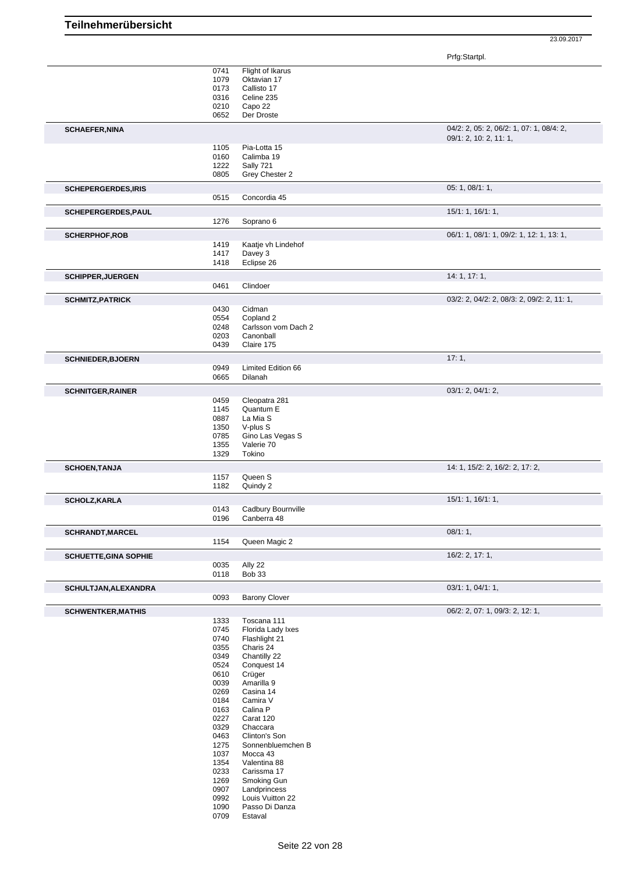Prfg:Startpl.

|                              | 0741<br>1079<br>0173<br>0316<br>0210<br>0652 | Flight of Ikarus<br>Oktavian 17<br>Callisto 17<br>Celine 235<br>Capo 22<br>Der Droste |                                                                    |
|------------------------------|----------------------------------------------|---------------------------------------------------------------------------------------|--------------------------------------------------------------------|
| <b>SCHAEFER, NINA</b>        |                                              |                                                                                       | 04/2: 2, 05: 2, 06/2: 1, 07: 1, 08/4: 2,<br>09/1: 2, 10: 2, 11: 1, |
|                              | 1105                                         | Pia-Lotta 15                                                                          |                                                                    |
|                              | 0160<br>1222                                 | Calimba 19<br>Sally 721                                                               |                                                                    |
|                              | 0805                                         | Grey Chester 2                                                                        |                                                                    |
| <b>SCHEPERGERDES, IRIS</b>   | 0515                                         | Concordia 45                                                                          | 05: 1, 08/1: 1,                                                    |
| SCHEPERGERDES, PAUL          |                                              |                                                                                       | 15/1: 1, 16/1: 1,                                                  |
|                              | 1276                                         | Soprano 6                                                                             |                                                                    |
| <b>SCHERPHOF, ROB</b>        |                                              |                                                                                       | 06/1: 1, 08/1: 1, 09/2: 1, 12: 1, 13: 1,                           |
|                              | 1419<br>1417                                 | Kaatje vh Lindehof<br>Davey 3                                                         |                                                                    |
|                              | 1418                                         | Eclipse 26                                                                            |                                                                    |
| <b>SCHIPPER, JUERGEN</b>     |                                              |                                                                                       | 14: 1, 17: 1,                                                      |
|                              | 0461                                         | Clindoer                                                                              |                                                                    |
| <b>SCHMITZ, PATRICK</b>      |                                              |                                                                                       | 03/2: 2, 04/2: 2, 08/3: 2, 09/2: 2, 11: 1,                         |
|                              | 0430<br>0554                                 | Cidman<br>Copland 2                                                                   |                                                                    |
|                              | 0248                                         | Carlsson vom Dach 2                                                                   |                                                                    |
|                              | 0203<br>0439                                 | Canonball<br>Claire 175                                                               |                                                                    |
| <b>SCHNIEDER, BJOERN</b>     |                                              |                                                                                       | 17:1,                                                              |
|                              | 0949                                         | Limited Edition 66                                                                    |                                                                    |
|                              | 0665                                         | Dilanah                                                                               |                                                                    |
| <b>SCHNITGER, RAINER</b>     | 0459                                         | Cleopatra 281                                                                         | 03/1: 2, 04/1: 2,                                                  |
|                              | 1145                                         | Quantum E                                                                             |                                                                    |
|                              | 0887                                         | La Mia S                                                                              |                                                                    |
|                              | 1350<br>0785                                 | V-plus S<br>Gino Las Vegas S                                                          |                                                                    |
|                              | 1355                                         | Valerie 70                                                                            |                                                                    |
|                              | 1329                                         | Tokino                                                                                |                                                                    |
| <b>SCHOEN, TANJA</b>         | 1157                                         | Queen S                                                                               | 14: 1, 15/2: 2, 16/2: 2, 17: 2,                                    |
|                              | 1182                                         | Quindy 2                                                                              |                                                                    |
| <b>SCHOLZ, KARLA</b>         |                                              |                                                                                       | 15/1: 1, 16/1: 1,                                                  |
|                              | 0143<br>0196                                 | Cadbury Bournville<br>Canberra 48                                                     |                                                                    |
| SCHRANDT, MARCEL             |                                              |                                                                                       | 08/1:1,                                                            |
|                              | 1154                                         | Queen Magic 2                                                                         |                                                                    |
| <b>SCHUETTE, GINA SOPHIE</b> |                                              |                                                                                       | 16/2: 2, 17: 1,                                                    |
|                              | 0035<br>0118                                 | Ally 22<br><b>Bob 33</b>                                                              |                                                                    |
| SCHULTJAN, ALEXANDRA         |                                              |                                                                                       | 03/1: 1, 04/1: 1,                                                  |
|                              | 0093                                         | <b>Barony Clover</b>                                                                  |                                                                    |
| <b>SCHWENTKER, MATHIS</b>    |                                              |                                                                                       | 06/2: 2, 07: 1, 09/3: 2, 12: 1,                                    |
|                              | 1333                                         | Toscana 111                                                                           |                                                                    |
|                              | 0745<br>0740                                 | Florida Lady Ixes<br>Flashlight 21                                                    |                                                                    |
|                              | 0355                                         | Charis 24                                                                             |                                                                    |
|                              | 0349                                         | Chantilly 22                                                                          |                                                                    |
|                              | 0524                                         | Conquest 14                                                                           |                                                                    |
|                              | 0610<br>0039                                 | Crüger<br>Amarilla 9                                                                  |                                                                    |
|                              | 0269                                         | Casina 14                                                                             |                                                                    |
|                              | 0184                                         | Camira V                                                                              |                                                                    |
|                              | 0163                                         | Calina P                                                                              |                                                                    |
|                              | 0227                                         | Carat 120                                                                             |                                                                    |
|                              | 0329<br>0463                                 | Chaccara<br>Clinton's Son                                                             |                                                                    |
|                              | 1275                                         | Sonnenbluemchen B                                                                     |                                                                    |
|                              | 1037                                         | Mocca 43                                                                              |                                                                    |
|                              | 1354                                         | Valentina 88                                                                          |                                                                    |
|                              | 0233                                         | Carissma 17                                                                           |                                                                    |
|                              | 1269<br>0907                                 | Smoking Gun<br>Landprincess                                                           |                                                                    |
|                              | 0992                                         | Louis Vuitton 22                                                                      |                                                                    |
|                              | 1090                                         | Passo Di Danza                                                                        |                                                                    |
|                              | 0709                                         | Estaval                                                                               |                                                                    |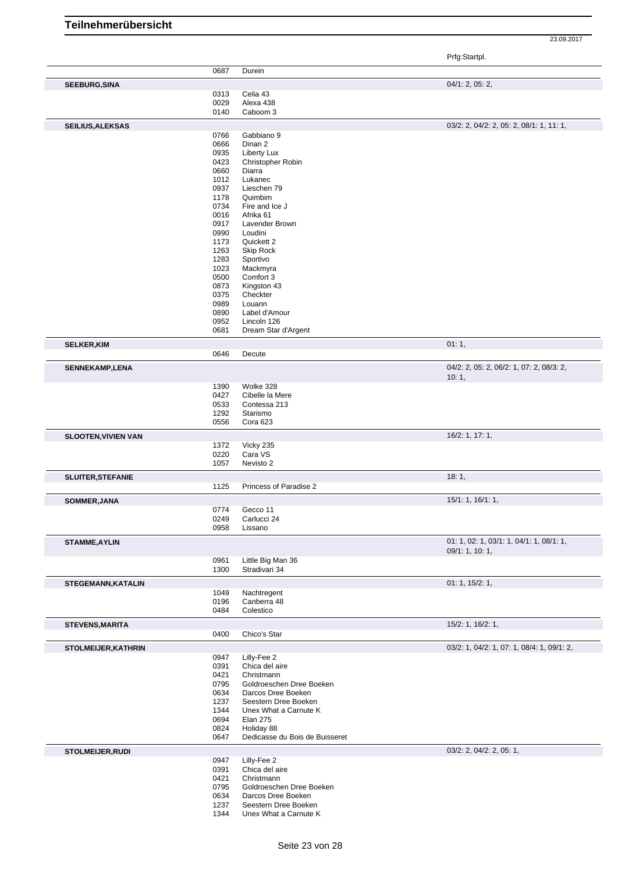Prfg:Startpl.

|                            | 0687         | Durein                                       |                                            |
|----------------------------|--------------|----------------------------------------------|--------------------------------------------|
|                            |              |                                              |                                            |
| <b>SEEBURG, SINA</b>       | 0313         | Celia 43                                     | 04/1: 2, 05: 2,                            |
|                            | 0029         | Alexa 438                                    |                                            |
|                            | 0140         | Caboom 3                                     |                                            |
|                            |              |                                              |                                            |
| <b>SEILIUS, ALEKSAS</b>    |              |                                              | 03/2: 2, 04/2: 2, 05: 2, 08/1: 1, 11: 1,   |
|                            | 0766         | Gabbiano 9<br>Dinan 2                        |                                            |
|                            | 0666<br>0935 | Liberty Lux                                  |                                            |
|                            | 0423         | Christopher Robin                            |                                            |
|                            | 0660         | Diarra                                       |                                            |
|                            | 1012         | Lukanec                                      |                                            |
|                            | 0937         | Lieschen 79                                  |                                            |
|                            | 1178         | Quimbim                                      |                                            |
|                            | 0734         | Fire and Ice J                               |                                            |
|                            | 0016         | Afrika 61                                    |                                            |
|                            | 0917         | Lavender Brown                               |                                            |
|                            | 0990         | Loudini                                      |                                            |
|                            | 1173         | Quickett 2                                   |                                            |
|                            | 1263         | Skip Rock                                    |                                            |
|                            | 1283         | Sportivo                                     |                                            |
|                            | 1023         | Mackmyra                                     |                                            |
|                            | 0500         | Comfort 3                                    |                                            |
|                            | 0873         | Kingston 43                                  |                                            |
|                            | 0375<br>0989 | Checkter<br>Louann                           |                                            |
|                            | 0890         | Label d'Amour                                |                                            |
|                            | 0952         | Lincoln 126                                  |                                            |
|                            | 0681         | Dream Star d'Argent                          |                                            |
|                            |              |                                              | 01:1,                                      |
| <b>SELKER, KIM</b>         | 0646         | Decute                                       |                                            |
|                            |              |                                              | 04/2: 2, 05: 2, 06/2: 1, 07: 2, 08/3: 2,   |
| <b>SENNEKAMP,LENA</b>      |              |                                              | 10:1,                                      |
|                            | 1390         | Wolke 328                                    |                                            |
|                            | 0427         | Cibelle la Mere                              |                                            |
|                            | 0533         | Contessa 213                                 |                                            |
|                            | 1292         | Starismo                                     |                                            |
|                            | 0556         | Cora 623                                     |                                            |
| <b>SLOOTEN, VIVIEN VAN</b> |              |                                              | 16/2: 1, 17: 1,                            |
|                            | 1372         | Vicky 235                                    |                                            |
|                            | 0220         | Cara VS                                      |                                            |
|                            | 1057         | Nevisto 2                                    |                                            |
| <b>SLUITER, STEFANIE</b>   |              |                                              | 18:1,                                      |
|                            | 1125         | Princess of Paradise 2                       |                                            |
| SOMMER, JANA               |              |                                              | 15/1: 1, 16/1: 1,                          |
|                            | 0774         | Gecco 11                                     |                                            |
|                            | 0249         | Carlucci 24                                  |                                            |
|                            | 0958         | Lissano                                      |                                            |
|                            |              |                                              | 01: 1, 02: 1, 03/1: 1, 04/1: 1, 08/1: 1,   |
| <b>STAMME, AYLIN</b>       |              |                                              | 09/1: 1, 10: 1,                            |
|                            | 0961         | Little Big Man 36                            |                                            |
|                            | 1300         | Stradivari 34                                |                                            |
| <b>STEGEMANN, KATALIN</b>  |              |                                              | 01: 1, 15/2: 1,                            |
|                            | 1049         | Nachtregent                                  |                                            |
|                            | 0196         | Canberra 48                                  |                                            |
|                            | 0484         | Colestico                                    |                                            |
| <b>STEVENS, MARITA</b>     |              |                                              | $15/2$ : 1, $16/2$ : 1,                    |
|                            | 0400         | Chico's Star                                 |                                            |
| <b>STOLMEIJER, KATHRIN</b> |              |                                              | 03/2: 1, 04/2: 1, 07: 1, 08/4: 1, 09/1: 2, |
|                            | 0947         | Lilly-Fee 2                                  |                                            |
|                            | 0391         | Chica del aire                               |                                            |
|                            | 0421         | Christmann                                   |                                            |
|                            | 0795         | Goldroeschen Dree Boeken                     |                                            |
|                            | 0634         | Darcos Dree Boeken                           |                                            |
|                            | 1237         | Seestern Dree Boeken                         |                                            |
|                            | 1344         | Unex What a Carnute K                        |                                            |
|                            | 0694         | <b>Elan 275</b>                              |                                            |
|                            | 0824<br>0647 | Holiday 88<br>Dedicasse du Bois de Buisseret |                                            |
|                            |              |                                              |                                            |
| <b>STOLMEIJER, RUDI</b>    |              |                                              | 03/2: 2, 04/2: 2, 05: 1,                   |
|                            | 0947<br>0391 | Lilly-Fee 2<br>Chica del aire                |                                            |
|                            | 0421         | Christmann                                   |                                            |
|                            | 0795         | Goldroeschen Dree Boeken                     |                                            |
|                            | 0634         | Darcos Dree Boeken                           |                                            |
|                            | 1237         | Seestern Dree Boeken                         |                                            |
|                            | 1344         | Unex What a Carnute K                        |                                            |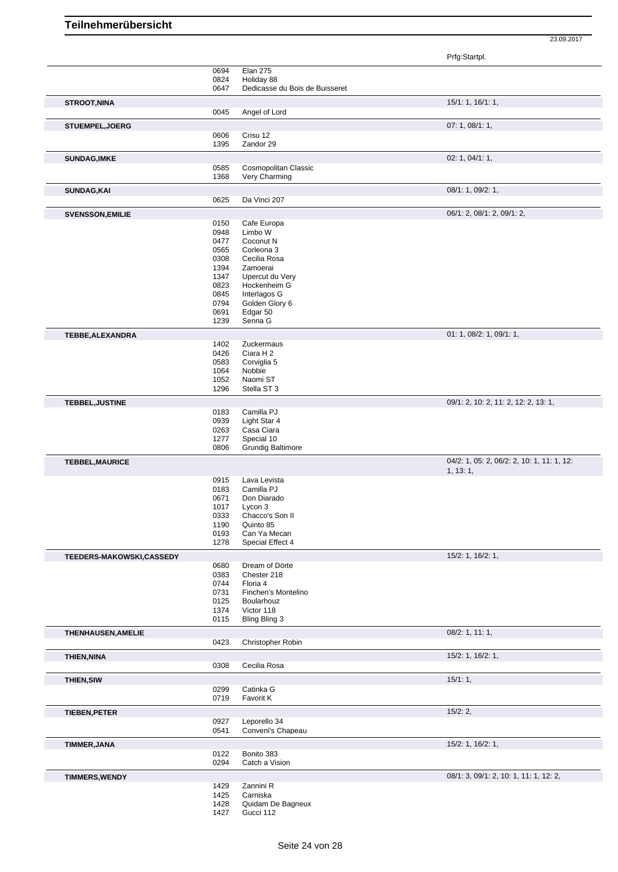Prfg:Startpl.

|                          | 0694         | <b>Elan 275</b>                |                                            |
|--------------------------|--------------|--------------------------------|--------------------------------------------|
|                          | 0824         | Holiday 88                     |                                            |
|                          | 0647         | Dedicasse du Bois de Buisseret |                                            |
| <b>STROOT, NINA</b>      |              |                                | 15/1: 1, 16/1: 1,                          |
|                          | 0045         | Angel of Lord                  |                                            |
|                          |              |                                |                                            |
| <b>STUEMPEL, JOERG</b>   |              |                                | 07: 1, 08/1: 1,                            |
|                          | 0606<br>1395 | Crisu 12<br>Zandor 29          |                                            |
|                          |              |                                |                                            |
| <b>SUNDAG, IMKE</b>      |              |                                | 02: 1, 04/1: 1,                            |
|                          | 0585         | Cosmopolitan Classic           |                                            |
|                          | 1368         | Very Charming                  |                                            |
| <b>SUNDAG, KAI</b>       |              |                                | 08/1: 1, 09/2: 1,                          |
|                          | 0625         | Da Vinci 207                   |                                            |
|                          |              |                                | 06/1: 2, 08/1: 2, 09/1: 2,                 |
| <b>SVENSSON, EMILIE</b>  |              |                                |                                            |
|                          | 0150<br>0948 | Cafe Europa<br>Limbo W         |                                            |
|                          | 0477         | Coconut N                      |                                            |
|                          | 0565         | Corleona 3                     |                                            |
|                          | 0308         | Cecilia Rosa                   |                                            |
|                          | 1394         | Zamoerai                       |                                            |
|                          | 1347         | Upercut du Very                |                                            |
|                          | 0823         | Hockenheim G                   |                                            |
|                          | 0845         | Interlagos G                   |                                            |
|                          | 0794         | Golden Glory 6                 |                                            |
|                          | 0691         | Edgar 50<br>Senna G            |                                            |
|                          | 1239         |                                |                                            |
| TEBBE, ALEXANDRA         |              |                                | 01: 1, 08/2: 1, 09/1: 1,                   |
|                          | 1402         | Zuckermaus                     |                                            |
|                          | 0426         | Ciara H 2                      |                                            |
|                          | 0583         | Corviglia 5                    |                                            |
|                          | 1064         | Nobbie                         |                                            |
|                          | 1052         | Naomi ST                       |                                            |
|                          | 1296         | Stella ST 3                    |                                            |
| TEBBEL, JUSTINE          |              |                                | 09/1: 2, 10: 2, 11: 2, 12: 2, 13: 1,       |
|                          | 0183         | Camilla PJ                     |                                            |
|                          | 0939         | Light Star 4                   |                                            |
|                          | 0263         | Casa Ciara<br>Special 10       |                                            |
|                          | 1277<br>0806 | <b>Grundig Baltimore</b>       |                                            |
|                          |              |                                |                                            |
| <b>TEBBEL, MAURICE</b>   |              |                                | 04/2: 1, 05: 2, 06/2: 2, 10: 1, 11: 1, 12: |
|                          |              |                                | 1, 13:1,                                   |
|                          | 0915         | Lava Levista                   |                                            |
|                          | 0183<br>0671 | Camilla PJ<br>Don Diarado      |                                            |
|                          | 1017         | Lycon 3                        |                                            |
|                          | 0333         | Chacco's Son II                |                                            |
|                          | 1190         | Quinto 85                      |                                            |
|                          | 0193         | Can Ya Mecan                   |                                            |
|                          | 1278         | Special Effect 4               |                                            |
| TEEDERS-MAKOWSKI,CASSEDY |              |                                | 15/2: 1, 16/2: 1,                          |
|                          | 0680         | Dream of Dörte                 |                                            |
|                          | 0383         | Chester 218                    |                                            |
|                          | 0744         | Floria 4                       |                                            |
|                          | 0731         | Finchen's Montelino            |                                            |
|                          | 0125         | Boularhouz                     |                                            |
|                          | 1374         | Victor 118                     |                                            |
|                          | 0115         | <b>Bling Bling 3</b>           |                                            |
| THENHAUSEN, AMELIE       |              |                                | 08/2: 1, 11: 1,                            |
|                          | 0423         | Christopher Robin              |                                            |
|                          |              |                                |                                            |
| <b>THIEN, NINA</b>       |              |                                | 15/2: 1, 16/2: 1,                          |
|                          | 0308         | Cecilia Rosa                   |                                            |
| <b>THIEN, SIW</b>        |              |                                | 15/1:1,                                    |
|                          | 0299         | Catinka G                      |                                            |
|                          | 0719         | Favorit K                      |                                            |
| <b>TIEBEN, PETER</b>     |              |                                | 15/2:2,                                    |
|                          | 0927         | Leporello 34                   |                                            |
|                          | 0541         | Conveni's Chapeau              |                                            |
|                          |              |                                |                                            |
| TIMMER, JANA             |              |                                | 15/2: 1, 16/2: 1,                          |
|                          |              |                                |                                            |
|                          | 0122         | Bonito 383                     |                                            |
|                          | 0294         | Catch a Vision                 |                                            |
| <b>TIMMERS, WENDY</b>    |              |                                | 08/1: 3, 09/1: 2, 10: 1, 11: 1, 12: 2,     |
|                          | 1429         | Zannini R                      |                                            |
|                          | 1425         | Carniska                       |                                            |
|                          | 1428<br>1427 | Quidam De Bagneux<br>Gucci 112 |                                            |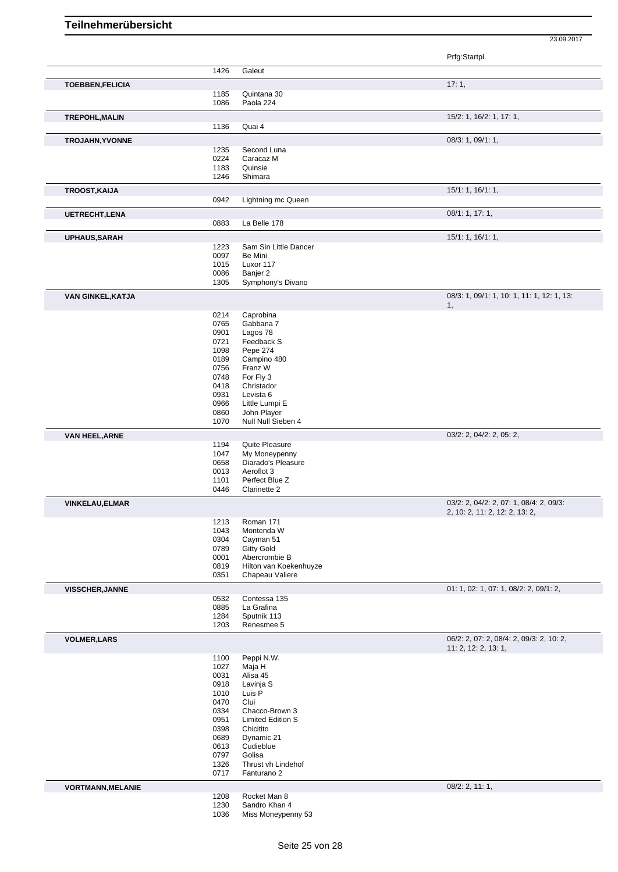|                          |              |                                       | Prfg:Startpl.                                                    |
|--------------------------|--------------|---------------------------------------|------------------------------------------------------------------|
|                          | 1426         | Galeut                                |                                                                  |
| <b>TOEBBEN, FELICIA</b>  |              |                                       | 17:1,                                                            |
|                          | 1185         | Quintana 30                           |                                                                  |
|                          | 1086         | Paola 224                             |                                                                  |
| <b>TREPOHL, MALIN</b>    |              |                                       | 15/2: 1, 16/2: 1, 17: 1,                                         |
|                          | 1136         | Quai 4                                |                                                                  |
|                          |              |                                       |                                                                  |
| TROJAHN, YVONNE          |              | Second Luna                           | 08/3: 1, 09/1: 1,                                                |
|                          | 1235<br>0224 | Caracaz M                             |                                                                  |
|                          | 1183         | Quinsie                               |                                                                  |
|                          | 1246         | Shimara                               |                                                                  |
| TROOST, KAIJA            |              |                                       | 15/1: 1, 16/1: 1,                                                |
|                          | 0942         | Lightning mc Queen                    |                                                                  |
|                          |              |                                       |                                                                  |
| <b>UETRECHT, LENA</b>    | 0883         | La Belle 178                          | 08/1: 1, 17: 1,                                                  |
|                          |              |                                       |                                                                  |
| UPHAUS, SARAH            |              |                                       | 15/1: 1, 16/1: 1,                                                |
|                          | 1223         | Sam Sin Little Dancer                 |                                                                  |
|                          | 0097<br>1015 | Be Mini<br>Luxor 117                  |                                                                  |
|                          | 0086         | Banjer 2                              |                                                                  |
|                          | 1305         | Symphony's Divano                     |                                                                  |
|                          |              |                                       | 08/3: 1, 09/1: 1, 10: 1, 11: 1, 12: 1, 13:                       |
| VAN GINKEL, KATJA        |              |                                       | 1,                                                               |
|                          | 0214         | Caprobina                             |                                                                  |
|                          | 0765         | Gabbana 7                             |                                                                  |
|                          | 0901         | Lagos 78                              |                                                                  |
|                          | 0721         | Feedback S                            |                                                                  |
|                          | 1098         | Pepe 274                              |                                                                  |
|                          | 0189         | Campino 480                           |                                                                  |
|                          | 0756<br>0748 | Franz W                               |                                                                  |
|                          | 0418         | For Fly 3<br>Christador               |                                                                  |
|                          | 0931         | Levista <sub>6</sub>                  |                                                                  |
|                          | 0966         | Little Lumpi E                        |                                                                  |
|                          | 0860         | John Player                           |                                                                  |
|                          | 1070         | Null Null Sieben 4                    |                                                                  |
| <b>VAN HEEL, ARNE</b>    |              |                                       | 03/2: 2, 04/2: 2, 05: 2,                                         |
|                          | 1194         | Quite Pleasure                        |                                                                  |
|                          | 1047         | My Moneypenny                         |                                                                  |
|                          | 0658         | Diarado's Pleasure                    |                                                                  |
|                          | 0013         | Aeroflot 3                            |                                                                  |
|                          | 1101<br>0446 | Perfect Blue Z<br>Clarinette 2        |                                                                  |
|                          |              |                                       |                                                                  |
| <b>VINKELAU, ELMAR</b>   |              |                                       | 03/2: 2, 04/2: 2, 07: 1, 08/4: 2, 09/3:                          |
|                          | 1213         | Roman 171                             | 2, 10: 2, 11: 2, 12: 2, 13: 2,                                   |
|                          | 1043         | Montenda W                            |                                                                  |
|                          | 0304         | Cayman 51                             |                                                                  |
|                          | 0789         | <b>Gitty Gold</b>                     |                                                                  |
|                          | 0001         | Abercrombie B                         |                                                                  |
|                          | 0819         | Hilton van Koekenhuyze                |                                                                  |
|                          | 0351         | Chapeau Valiere                       |                                                                  |
| <b>VISSCHER, JANNE</b>   |              |                                       | 01: 1, 02: 1, 07: 1, 08/2: 2, 09/1: 2,                           |
|                          | 0532         | Contessa 135                          |                                                                  |
|                          | 0885         | La Grafina                            |                                                                  |
|                          | 1284<br>1203 | Sputnik 113<br>Renesmee 5             |                                                                  |
|                          |              |                                       |                                                                  |
| <b>VOLMER, LARS</b>      |              |                                       | 06/2: 2, 07: 2, 08/4: 2, 09/3: 2, 10: 2,<br>11: 2, 12: 2, 13: 1, |
|                          | 1100         | Peppi N.W.                            |                                                                  |
|                          | 1027         | Maja H                                |                                                                  |
|                          | 0031         | Alisa 45                              |                                                                  |
|                          | 0918         | Lavinja S                             |                                                                  |
|                          | 1010         | Luis P                                |                                                                  |
|                          | 0470         | Clui                                  |                                                                  |
|                          | 0334         | Chacco-Brown 3                        |                                                                  |
|                          | 0951<br>0398 | <b>Limited Edition S</b><br>Chicitito |                                                                  |
|                          | 0689         | Dynamic 21                            |                                                                  |
|                          | 0613         | Cudieblue                             |                                                                  |
|                          | 0797         | Golisa                                |                                                                  |
|                          | 1326         | Thrust vh Lindehof                    |                                                                  |
|                          | 0717         | Fanturano 2                           |                                                                  |
| <b>VORTMANN, MELANIE</b> |              |                                       | 08/2: 2, 11: 1,                                                  |
|                          | 1208         | Rocket Man 8                          |                                                                  |
|                          | 1230         | Sandro Khan 4                         |                                                                  |
|                          | 1036         | Miss Moneypenny 53                    |                                                                  |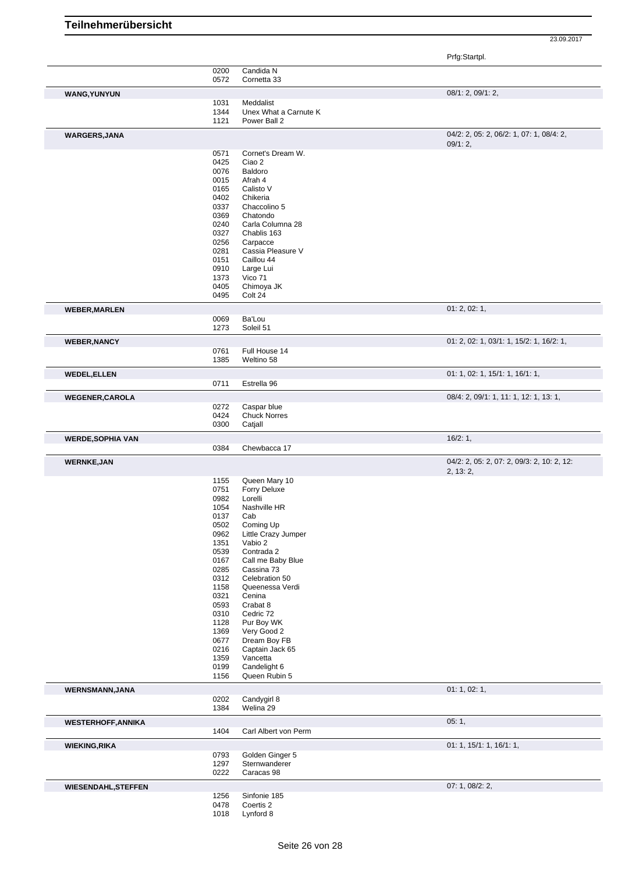|                                                                                                                                 |              |                                    | Prfg:Startpl.                              |
|---------------------------------------------------------------------------------------------------------------------------------|--------------|------------------------------------|--------------------------------------------|
|                                                                                                                                 | 0200         | Candida N                          |                                            |
|                                                                                                                                 | 0572         | Cornetta 33                        |                                            |
| <b>WANG, YUNYUN</b>                                                                                                             |              |                                    | 08/1: 2, 09/1: 2,                          |
|                                                                                                                                 | 1031         | Meddalist                          |                                            |
|                                                                                                                                 | 1344         | Unex What a Carnute K              |                                            |
|                                                                                                                                 | 1121         | Power Ball 2                       |                                            |
| <b>WARGERS, JANA</b>                                                                                                            |              |                                    | 04/2: 2, 05: 2, 06/2: 1, 07: 1, 08/4: 2,   |
|                                                                                                                                 |              |                                    | 09/1:2,                                    |
|                                                                                                                                 | 0571         | Cornet's Dream W.                  |                                            |
|                                                                                                                                 | 0425         | Ciao 2                             |                                            |
|                                                                                                                                 | 0076         | Baldoro                            |                                            |
|                                                                                                                                 | 0015         | Afrah 4                            |                                            |
|                                                                                                                                 | 0165         | Calisto V                          |                                            |
|                                                                                                                                 | 0402<br>0337 | Chikeria<br>Chaccolino 5           |                                            |
|                                                                                                                                 | 0369         | Chatondo                           |                                            |
|                                                                                                                                 | 0240         | Carla Columna 28                   |                                            |
|                                                                                                                                 | 0327         | Chablis 163                        |                                            |
|                                                                                                                                 | 0256         | Carpacce                           |                                            |
|                                                                                                                                 | 0281         | Cassia Pleasure V                  |                                            |
|                                                                                                                                 | 0151         | Caillou 44                         |                                            |
|                                                                                                                                 | 0910         | Large Lui                          |                                            |
|                                                                                                                                 | 1373<br>0405 | Vico 71<br>Chimoya JK              |                                            |
|                                                                                                                                 | 0495         | Colt 24                            |                                            |
|                                                                                                                                 |              |                                    |                                            |
| <b>WEBER, MARLEN</b>                                                                                                            | 0069         | Ba'Lou                             | 01: 2, 02: 1,                              |
|                                                                                                                                 | 1273         | Soleil 51                          |                                            |
|                                                                                                                                 |              |                                    |                                            |
| <b>WEBER, NANCY</b>                                                                                                             | 0761         | Full House 14                      | 01: 2, 02: 1, 03/1: 1, 15/2: 1, 16/2: 1,   |
|                                                                                                                                 | 1385         | Weltino 58                         |                                            |
| <b>WEDEL, ELLEN</b>                                                                                                             |              |                                    | 01: 1, 02: 1, 15/1: 1, 16/1: 1,            |
|                                                                                                                                 | 0711         | Estrella 96                        |                                            |
|                                                                                                                                 |              |                                    |                                            |
| <b>WEGENER, CAROLA</b>                                                                                                          |              |                                    | 08/4: 2, 09/1: 1, 11: 1, 12: 1, 13: 1,     |
|                                                                                                                                 | 0272<br>0424 | Caspar blue<br><b>Chuck Norres</b> |                                            |
|                                                                                                                                 | 0300         | Catjall                            |                                            |
|                                                                                                                                 |              |                                    | 16/2:1,                                    |
| <b>WERDE, SOPHIA VAN</b>                                                                                                        |              |                                    |                                            |
|                                                                                                                                 |              |                                    |                                            |
|                                                                                                                                 | 0384         | Chewbacca 17                       |                                            |
|                                                                                                                                 |              |                                    | 04/2: 2, 05: 2, 07: 2, 09/3: 2, 10: 2, 12: |
|                                                                                                                                 |              |                                    | 2, 13: 2,                                  |
|                                                                                                                                 | 1155<br>0751 | Queen Mary 10<br>Forry Deluxe      |                                            |
|                                                                                                                                 | 0982         | Lorelli                            |                                            |
|                                                                                                                                 | 1054         | Nashville HR                       |                                            |
|                                                                                                                                 | 0137         | Cab                                |                                            |
|                                                                                                                                 | 0502         | Coming Up                          |                                            |
|                                                                                                                                 | 0962         | Little Crazy Jumper                |                                            |
|                                                                                                                                 | 1351         | Vabio 2                            |                                            |
|                                                                                                                                 | 0539         | Contrada 2                         |                                            |
|                                                                                                                                 | 0167<br>0285 | Call me Baby Blue<br>Cassina 73    |                                            |
|                                                                                                                                 | 0312         | Celebration 50                     |                                            |
|                                                                                                                                 | 1158         | Queenessa Verdi                    |                                            |
|                                                                                                                                 | 0321         | Cenina                             |                                            |
|                                                                                                                                 | 0593         | Crabat 8                           |                                            |
|                                                                                                                                 | 0310         | Cedric 72                          |                                            |
|                                                                                                                                 | 1128         | Pur Boy WK                         |                                            |
|                                                                                                                                 | 1369         | Very Good 2                        |                                            |
|                                                                                                                                 | 0677<br>0216 | Dream Boy FB<br>Captain Jack 65    |                                            |
|                                                                                                                                 | 1359         | Vancetta                           |                                            |
|                                                                                                                                 | 0199         | Candelight 6                       |                                            |
|                                                                                                                                 | 1156         | Queen Rubin 5                      |                                            |
|                                                                                                                                 |              |                                    | 01: 1, 02: 1,                              |
|                                                                                                                                 | 0202         | Candygirl 8                        |                                            |
|                                                                                                                                 | 1384         | Welina 29                          |                                            |
|                                                                                                                                 |              |                                    | 05:1,                                      |
|                                                                                                                                 | 1404         | Carl Albert von Perm               |                                            |
|                                                                                                                                 |              |                                    |                                            |
|                                                                                                                                 | 0793         | Golden Ginger 5                    | 01: 1, 15/1: 1, 16/1: 1,                   |
|                                                                                                                                 | 1297         | Sternwanderer                      |                                            |
|                                                                                                                                 | 0222         | Caracas 98                         |                                            |
|                                                                                                                                 |              |                                    | 07: 1, 08/2: 2,                            |
|                                                                                                                                 | 1256         | Sinfonie 185                       |                                            |
| <b>WERNKE, JAN</b><br><b>WERNSMANN, JANA</b><br><b>WESTERHOFF, ANNIKA</b><br><b>WIEKING, RIKA</b><br><b>WIESENDAHL, STEFFEN</b> | 0478<br>1018 | Coertis 2<br>Lynford 8             |                                            |

**Teilnehmerübersicht**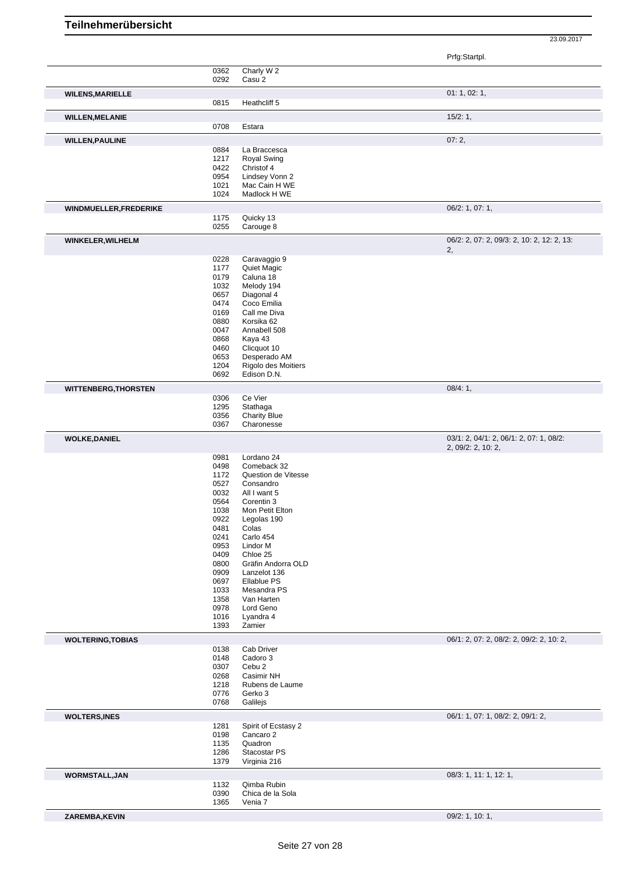|                               |              |                                    | Prfg:Startpl.                                                 |
|-------------------------------|--------------|------------------------------------|---------------------------------------------------------------|
|                               | 0362         | Charly W 2                         |                                                               |
|                               | 0292         | Casu 2                             |                                                               |
| <b>WILENS, MARIELLE</b>       |              |                                    | 01: 1, 02: 1,                                                 |
|                               | 0815         | Heathcliff 5                       |                                                               |
| <b>WILLEN, MELANIE</b>        |              |                                    | 15/2:1,                                                       |
|                               | 0708         | Estara                             |                                                               |
| <b>WILLEN, PAULINE</b>        |              |                                    | 07:2,                                                         |
|                               | 0884         | La Braccesca                       |                                                               |
|                               | 1217<br>0422 | <b>Royal Swing</b><br>Christof 4   |                                                               |
|                               | 0954         | Lindsey Vonn 2                     |                                                               |
|                               | 1021         | Mac Cain H WE                      |                                                               |
|                               | 1024         | Madlock H WE                       |                                                               |
| <b>WINDMUELLER, FREDERIKE</b> |              |                                    | 06/2: 1, 07: 1,                                               |
|                               | 1175         | Quicky 13                          |                                                               |
|                               | 0255         | Carouge 8                          |                                                               |
| WINKELER, WILHELM             |              |                                    | 06/2: 2, 07: 2, 09/3: 2, 10: 2, 12: 2, 13:                    |
|                               | 0228         | Caravaggio 9                       | 2,                                                            |
|                               | 1177         | Quiet Magic                        |                                                               |
|                               | 0179         | Caluna 18                          |                                                               |
|                               | 1032         | Melody 194                         |                                                               |
|                               | 0657         | Diagonal 4                         |                                                               |
|                               | 0474         | Coco Emilia                        |                                                               |
|                               | 0169         | Call me Diva                       |                                                               |
|                               | 0880<br>0047 | Korsika 62<br>Annabell 508         |                                                               |
|                               | 0868         | Kaya 43                            |                                                               |
|                               | 0460         | Clicquot 10                        |                                                               |
|                               | 0653         | Desperado AM                       |                                                               |
|                               | 1204         | Rigolo des Moitiers                |                                                               |
|                               | 0692         | Edison D.N.                        |                                                               |
| <b>WITTENBERG, THORSTEN</b>   |              |                                    | 08/4:1,                                                       |
|                               | 0306         | Ce Vier                            |                                                               |
|                               | 1295<br>0356 | Stathaga<br><b>Charity Blue</b>    |                                                               |
|                               | 0367         | Charonesse                         |                                                               |
|                               |              |                                    |                                                               |
| <b>WOLKE, DANIEL</b>          |              |                                    | 03/1: 2, 04/1: 2, 06/1: 2, 07: 1, 08/2:<br>2, 09/2: 2, 10: 2, |
|                               | 0981         | Lordano 24                         |                                                               |
|                               | 0498         | Comeback 32                        |                                                               |
|                               | 1172         | Question de Vitesse                |                                                               |
|                               | 0527<br>0032 | Consandro<br>All I want 5          |                                                               |
|                               | 0564         | Corentin 3                         |                                                               |
|                               | 1038         | Mon Petit Elton                    |                                                               |
|                               | 0922         | Legolas 190                        |                                                               |
|                               | 0481         | Colas                              |                                                               |
|                               | 0241         | Carlo 454                          |                                                               |
|                               | 0953         | Lindor M                           |                                                               |
|                               | 0409         | Chloe 25                           |                                                               |
|                               | 0800<br>0909 | Gräfin Andorra OLD<br>Lanzelot 136 |                                                               |
|                               | 0697         | Ellablue PS                        |                                                               |
|                               | 1033         | Mesandra PS                        |                                                               |
|                               | 1358         | Van Harten                         |                                                               |
|                               | 0978         | Lord Geno                          |                                                               |
|                               | 1016         | Lyandra 4                          |                                                               |
|                               | 1393         | Zamier                             |                                                               |
| <b>WOLTERING, TOBIAS</b>      | 0138         | Cab Driver                         | 06/1: 2, 07: 2, 08/2: 2, 09/2: 2, 10: 2,                      |
|                               | 0148         | Cadoro 3                           |                                                               |
|                               | 0307         | Cebu 2                             |                                                               |
|                               | 0268         | Casimir NH                         |                                                               |
|                               | 1218         | Rubens de Laume                    |                                                               |
|                               | 0776         | Gerko 3                            |                                                               |
|                               | 0768         | Galilejs                           |                                                               |
| <b>WOLTERS, INES</b>          |              |                                    | 06/1: 1, 07: 1, 08/2: 2, 09/1: 2,                             |
|                               | 1281         | Spirit of Ecstasy 2                |                                                               |
|                               | 0198<br>1135 | Cancaro 2<br>Quadron               |                                                               |
|                               | 1286         | Stacostar PS                       |                                                               |
|                               | 1379         | Virginia 216                       |                                                               |
| <b>WORMSTALL, JAN</b>         |              |                                    | 08/3: 1, 11: 1, 12: 1,                                        |
|                               | 1132         | Qimba Rubin                        |                                                               |
|                               | 0390         | Chica de la Sola                   |                                                               |
|                               | 1365         | Venia 7                            |                                                               |
| ZAREMBA, KEVIN                |              |                                    | 09/2: 1, 10: 1,                                               |